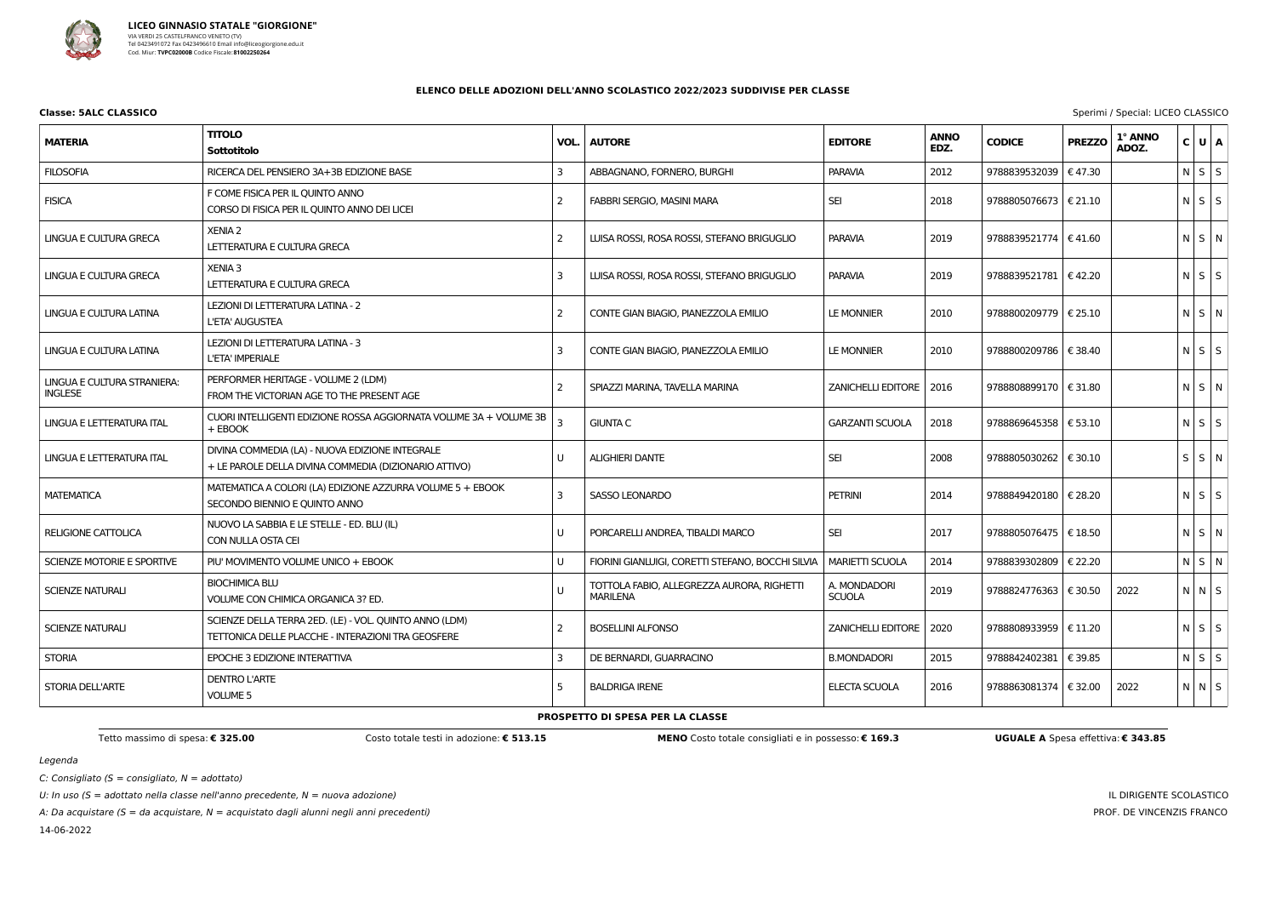

# **Classe: 5ALC CLASSICO** Sperimi / Special: LICEO CLASSICO

Legenda

C: Consigliato ( $S =$  consigliato,  $N =$  adottato)

U: In uso ( $S =$  adottato nella classe nell'anno precedente,  $N =$  nuova adozione)

A: Da acquistare ( $S = da$  acquistare,  $N = ac$ quistato dagli alunni negli anni precedenti)

14-06-2022

# IL DIRIGENTE SCOLASTICO PROF. DE VINCENZIS FRANCO

|  | <b>JGUALE A</b> Spesa effettiva: € 343.85 |  |  |
|--|-------------------------------------------|--|--|

# **ELENCO DELLE ADOZIONI DELL'ANNO SCOLASTICO 2022/2023 SUDDIVISE PER CLASSE**

| <b>MATERIA</b>                                | <b>TITOLO</b><br>Sottotitolo                                                                                 | VOL.           | <b>AUTORE</b>                                                 | <b>EDITORE</b>                | <b>ANNO</b><br>EDZ. | <b>CODICE</b>           | <b>PREZZO</b> | 1° ANNO<br>ADOZ. | $U$ $A$<br>$\mathsf{c}\,\vert$ |  |
|-----------------------------------------------|--------------------------------------------------------------------------------------------------------------|----------------|---------------------------------------------------------------|-------------------------------|---------------------|-------------------------|---------------|------------------|--------------------------------|--|
| <b>FILOSOFIA</b>                              | RICERCA DEL PENSIERO 3A+3B EDIZIONE BASE                                                                     | 3              | ABBAGNANO, FORNERO, BURGHI                                    | <b>PARAVIA</b>                | 2012                | 9788839532039           | €47.30        |                  | $N$ $S$ $S$                    |  |
| <b>FISICA</b>                                 | F COME FISICA PER IL QUINTO ANNO<br>CORSO DI FISICA PER IL QUINTO ANNO DEI LICEI                             | -2             | FABBRI SERGIO, MASINI MARA                                    | <b>SEI</b>                    | 2018                | 9788805076673   € 21.10 |               |                  | $N$ $S$ $S$                    |  |
| LINGUA E CULTURA GRECA                        | <b>XENIA 2</b><br>LETTERATURA E CULTURA GRECA                                                                | 2              | LUISA ROSSI, ROSA ROSSI, STEFANO BRIGUGLIO                    | <b>PARAVIA</b>                | 2019                | 9788839521774   € 41.60 |               |                  | N S N                          |  |
| LINGUA E CULTURA GRECA                        | <b>XENIA 3</b><br>LETTERATURA E CULTURA GRECA                                                                | -3             | LUISA ROSSI, ROSA ROSSI, STEFANO BRIGUGLIO                    | <b>PARAVIA</b>                | 2019                | 9788839521781   €42.20  |               |                  | $N$ $S$ $S$                    |  |
| LINGUA E CULTURA LATINA                       | LEZIONI DI LETTERATURA LATINA - 2<br>L'ETA' AUGUSTEA                                                         | $\overline{2}$ | CONTE GIAN BIAGIO, PIANEZZOLA EMILIO                          | LE MONNIER                    | 2010                | 9788800209779   € 25.10 |               |                  | $N$ $S$ $N$                    |  |
| LINGUA E CULTURA LATINA                       | LEZIONI DI LETTERATURA LATINA - 3<br>L'ETA' IMPERIALE                                                        | -3             | CONTE GIAN BIAGIO, PIANEZZOLA EMILIO                          | LE MONNIER                    | 2010                | 9788800209786   € 38.40 |               |                  | $N$ $S$ $S$                    |  |
| LINGUA E CULTURA STRANIERA:<br><b>INGLESE</b> | PERFORMER HERITAGE - VOLUME 2 (LDM)<br>FROM THE VICTORIAN AGE TO THE PRESENT AGE                             | $\overline{2}$ | SPIAZZI MARINA, TAVELLA MARINA                                | ZANICHELLI EDITORE            | 2016                | 9788808899170   € 31.80 |               |                  | $N$ $S$ $N$                    |  |
| LINGUA E LETTERATURA ITAL                     | CUORI INTELLIGENTI EDIZIONE ROSSA AGGIORNATA VOLUME 3A + VOLUME 3B<br>+ EBOOK                                |                | <b>GIUNTA C</b>                                               | <b>GARZANTI SCUOLA</b>        | 2018                | 9788869645358   € 53.10 |               |                  | $N$ $S$ $S$                    |  |
| LINGUA E LETTERATURA ITAL                     | DIVINA COMMEDIA (LA) - NUOVA EDIZIONE INTEGRALE<br>+ LE PAROLE DELLA DIVINA COMMEDIA (DIZIONARIO ATTIVO)     |                | <b>ALIGHIERI DANTE</b>                                        | <b>SEI</b>                    | 2008                | 9788805030262   € 30.10 |               |                  | $S$ $S$ $N$                    |  |
| <b>MATEMATICA</b>                             | MATEMATICA A COLORI (LA) EDIZIONE AZZURRA VOLUME 5 + EBOOK<br>SECONDO BIENNIO E QUINTO ANNO                  | -3             | <b>SASSO LEONARDO</b>                                         | <b>PETRINI</b>                | 2014                | 9788849420180           | € 28.20       |                  | $N$ $S$ $S$                    |  |
| <b>RELIGIONE CATTOLICA</b>                    | NUOVO LA SABBIA E LE STELLE - ED. BLU (IL)<br>CON NULLA OSTA CEI                                             |                | PORCARELLI ANDREA, TIBALDI MARCO                              | <b>SEI</b>                    | 2017                | 9788805076475   € 18.50 |               |                  | $N$ $S$ $N$                    |  |
| SCIENZE MOTORIE E SPORTIVE                    | PIU' MOVIMENTO VOLUME UNICO + EBOOK                                                                          |                | FIORINI GIANLUIGI, CORETTI STEFANO, BOCCHI SILVIA             | <b>MARIETTI SCUOLA</b>        | 2014                | 9788839302809   € 22.20 |               |                  | $N$ $S$ $N$                    |  |
| <b>SCIENZE NATURALI</b>                       | <b>BIOCHIMICA BLU</b><br>VOLUME CON CHIMICA ORGANICA 3? ED.                                                  |                | TOTTOLA FABIO, ALLEGREZZA AURORA, RIGHETTI<br><b>MARILENA</b> | A. MONDADORI<br><b>SCUOLA</b> | 2019                | 9788824776363   € 30.50 |               | 2022             | $N$ $N$ $S$                    |  |
| <b>SCIENZE NATURALI</b>                       | SCIENZE DELLA TERRA 2ED. (LE) - VOL. QUINTO ANNO (LDM)<br>TETTONICA DELLE PLACCHE - INTERAZIONI TRA GEOSFERE | -2             | <b>BOSELLINI ALFONSO</b>                                      | ZANICHELLI EDITORE   2020     |                     | 9788808933959   € 11.20 |               |                  | $N$ $S$ $S$                    |  |
| <b>STORIA</b>                                 | EPOCHE 3 EDIZIONE INTERATTIVA                                                                                | -3             | DE BERNARDI, GUARRACINO                                       | <b>B.MONDADORI</b>            | 2015                | 9788842402381   € 39.85 |               |                  | $N$ $S$ $S$                    |  |
| STORIA DELL'ARTE                              | <b>DENTRO L'ARTE</b><br><b>VOLUME 5</b>                                                                      | -5             | <b>BALDRIGA IRENE</b>                                         | ELECTA SCUOLA                 | 2016                | 9788863081374   € 32.00 |               | 2022             | N N S                          |  |
|                                               |                                                                                                              |                | <b>PROSPETTO DI SPESA PER LA CLASSE</b>                       |                               |                     |                         |               |                  |                                |  |

Tetto massimo di spesa: € 325.00 Costo totale testi in adozione: € 513.15 MENO Costo totale consigliati e in possesso: € 169.3 UGUALE A Spesi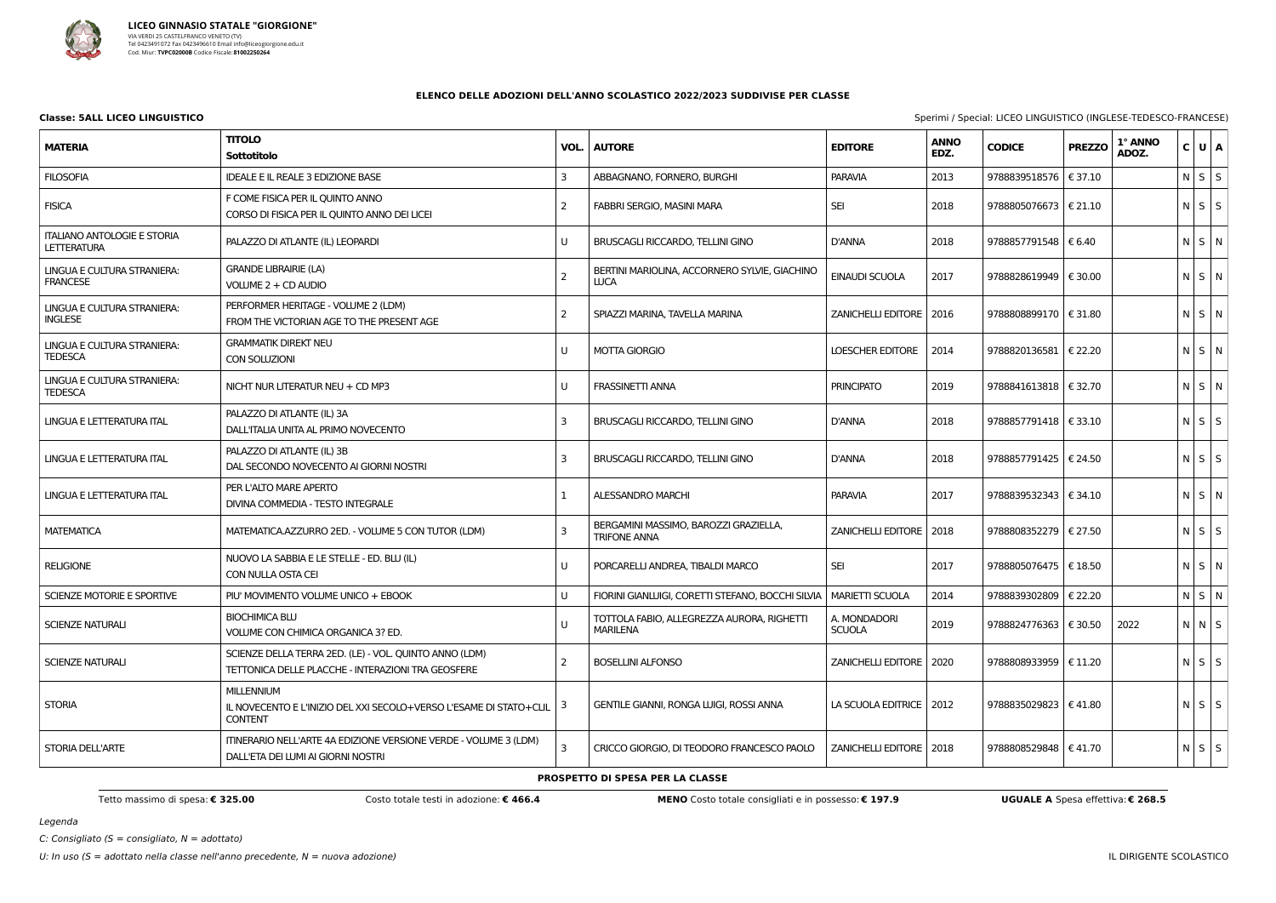

**Classe: 5ALL LICEO LINGUISTICO** Sperimi / Special: LICEO LINGUISTICO (INGLESE-TEDESCO-FRANCESE)

Legenda

C: Consigliato ( $S =$  consigliato,  $N =$  adottato)

# **ELENCO DELLE ADOZIONI DELL'ANNO SCOLASTICO 2022/2023 SUDDIVISE PER CLASSE**

|                                                          | opening opeeran Electo Entoolomeo (iltoccoc Tebeoco The iltococ)                                             |   |                                                                     |                               |                     |                         |               |                  |  |             |  |
|----------------------------------------------------------|--------------------------------------------------------------------------------------------------------------|---|---------------------------------------------------------------------|-------------------------------|---------------------|-------------------------|---------------|------------------|--|-------------|--|
| <b>MATERIA</b>                                           | <b>TITOLO</b><br><b>Sottotitolo</b>                                                                          |   | <b>VOL.   AUTORE</b>                                                | <b>EDITORE</b>                | <b>ANNO</b><br>EDZ. | <b>CODICE</b>           | <b>PREZZO</b> | 1° ANNO<br>ADOZ. |  | C U A       |  |
| <b>FILOSOFIA</b>                                         | <b>IDEALE E IL REALE 3 EDIZIONE BASE</b>                                                                     | 3 | ABBAGNANO, FORNERO, BURGHI                                          | <b>PARAVIA</b>                | 2013                | 9788839518576           | € 37.10       |                  |  | $N$ $S$ $S$ |  |
| <b>FISICA</b>                                            | F COME FISICA PER IL QUINTO ANNO<br>CORSO DI FISICA PER IL QUINTO ANNO DEI LICEI                             |   | FABBRI SERGIO, MASINI MARA                                          | <b>SEI</b>                    | 2018                | 9788805076673   € 21.10 |               |                  |  | $N$ $S$ $S$ |  |
| <b>ITALIANO ANTOLOGIE E STORIA</b><br><b>LETTERATURA</b> | PALAZZO DI ATLANTE (IL) LEOPARDI                                                                             | U | BRUSCAGLI RICCARDO, TELLINI GINO                                    | D'ANNA                        | 2018                | 9788857791548   € 6.40  |               |                  |  | $N$ $S$ $N$ |  |
| LINGUA E CULTURA STRANIERA:<br><b>FRANCESE</b>           | <b>GRANDE LIBRAIRIE (LA)</b><br>VOLUME 2 + CD AUDIO                                                          |   | BERTINI MARIOLINA, ACCORNERO SYLVIE, GIACHINO<br><b>LUCA</b>        | EINAUDI SCUOLA                | 2017                | 9788828619949   € 30.00 |               |                  |  | N S N       |  |
| LINGUA E CULTURA STRANIERA:<br><b>INGLESE</b>            | PERFORMER HERITAGE - VOLUME 2 (LDM)<br>FROM THE VICTORIAN AGE TO THE PRESENT AGE                             |   | SPIAZZI MARINA, TAVELLA MARINA                                      | ZANICHELLI EDITORE   2016     |                     | 9788808899170   € 31.80 |               |                  |  | N S N       |  |
| LINGUA E CULTURA STRANIERA:<br><b>TEDESCA</b>            | <b>GRAMMATIK DIREKT NEU</b><br>CON SOLUZIONI                                                                 | U | <b>MOTTA GIORGIO</b>                                                | <b>LOESCHER EDITORE</b>       | 2014                | 9788820136581   € 22.20 |               |                  |  | N S N       |  |
| LINGUA E CULTURA STRANIERA:<br><b>TEDESCA</b>            | NICHT NUR LITERATUR NEU + CD MP3                                                                             | U | <b>FRASSINETTI ANNA</b>                                             | <b>PRINCIPATO</b>             | 2019                | 9788841613818   € 32.70 |               |                  |  | N S N       |  |
| LINGUA E LETTERATURA ITAL                                | PALAZZO DI ATLANTE (IL) 3A<br>DALL'ITALIA UNITA AL PRIMO NOVECENTO                                           |   | BRUSCAGLI RICCARDO, TELLINI GINO                                    | <b>D'ANNA</b>                 | 2018                | 9788857791418   € 33.10 |               |                  |  | $N$ $S$ $S$ |  |
| LINGUA E LETTERATURA ITAL                                | PALAZZO DI ATLANTE (IL) 3B<br>DAL SECONDO NOVECENTO AI GIORNI NOSTRI                                         |   | BRUSCAGLI RICCARDO, TELLINI GINO                                    | D'ANNA                        | 2018                | 9788857791425   € 24.50 |               |                  |  | $N$ $S$ $S$ |  |
| LINGUA E LETTERATURA ITAL                                | PER L'ALTO MARE APERTO<br>DIVINA COMMEDIA - TESTO INTEGRALE                                                  |   | <b>ALESSANDRO MARCHI</b>                                            | <b>PARAVIA</b>                | 2017                | 9788839532343   € 34.10 |               |                  |  | N S N       |  |
| <b>MATEMATICA</b>                                        | MATEMATICA.AZZURRO 2ED. - VOLUME 5 CON TUTOR (LDM)                                                           |   | BERGAMINI MASSIMO, BAROZZI GRAZIELLA,<br><b>TRIFONE ANNA</b>        | ZANICHELLI EDITORE   2018     |                     | 9788808352279   € 27.50 |               |                  |  | $N$ $S$ $S$ |  |
| <b>RELIGIONE</b>                                         | NUOVO LA SABBIA E LE STELLE - ED. BLU (IL)<br>CON NULLA OSTA CEI                                             | U | PORCARELLI ANDREA, TIBALDI MARCO                                    | <b>SEI</b>                    | 2017                | 9788805076475   € 18.50 |               |                  |  | N S N       |  |
| SCIENZE MOTORIE E SPORTIVE                               | PIU' MOVIMENTO VOLUME UNICO + EBOOK                                                                          |   | FIORINI GIANLUIGI, CORETTI STEFANO, BOCCHI SILVIA   MARIETTI SCUOLA |                               | 2014                | 9788839302809   € 22.20 |               |                  |  | $N$ $S$ $N$ |  |
| SCIENZE NATURALI                                         | <b>BIOCHIMICA BLU</b><br>VOLUME CON CHIMICA ORGANICA 3? ED.                                                  |   | TOTTOLA FABIO, ALLEGREZZA AURORA, RIGHETTI<br>MARILENA              | A. MONDADORI<br><b>SCUOLA</b> | 2019                | 9788824776363   € 30.50 |               | 2022             |  | N N S       |  |
| <b>SCIENZE NATURALI</b>                                  | SCIENZE DELLA TERRA 2ED. (LE) - VOL. QUINTO ANNO (LDM)<br>TETTONICA DELLE PLACCHE - INTERAZIONI TRA GEOSFERE |   | <b>BOSELLINI ALFONSO</b>                                            | ZANICHELLI EDITORE   2020     |                     | 9788808933959   € 11.20 |               |                  |  | $N$ $S$ $S$ |  |
| <b>STORIA</b>                                            | <b>MILLENNIUM</b><br>IL NOVECENTO E L'INIZIO DEL XXI SECOLO+VERSO L'ESAME DI STATO+CLIL<br><b>CONTENT</b>    | 3 | GENTILE GIANNI, RONGA LUIGI, ROSSI ANNA                             | LA SCUOLA EDITRICE   2012     |                     | 9788835029823   €41.80  |               |                  |  | $N$ $S$ $S$ |  |
| <b>STORIA DELL'ARTE</b>                                  | ITINERARIO NELL'ARTE 4A EDIZIONE VERSIONE VERDE - VOLUME 3 (LDM)<br>DALL'ETA DEI LUMI AI GIORNI NOSTRI       |   | CRICCO GIORGIO, DI TEODORO FRANCESCO PAOLO                          | ZANICHELLI EDITORE   2018     |                     | 9788808529848   € 41.70 |               |                  |  | $N$ $S$ $S$ |  |

# **PROSPETTO DI SPESA PER LA CLASSE**

Tetto massimo di spesa: € 325.00 Costo totale testi in adozione: € 466.4 MENO Costo totale consigliati e in possesso: € 197.9 UGUALE A Spesa effettiva: € 268.5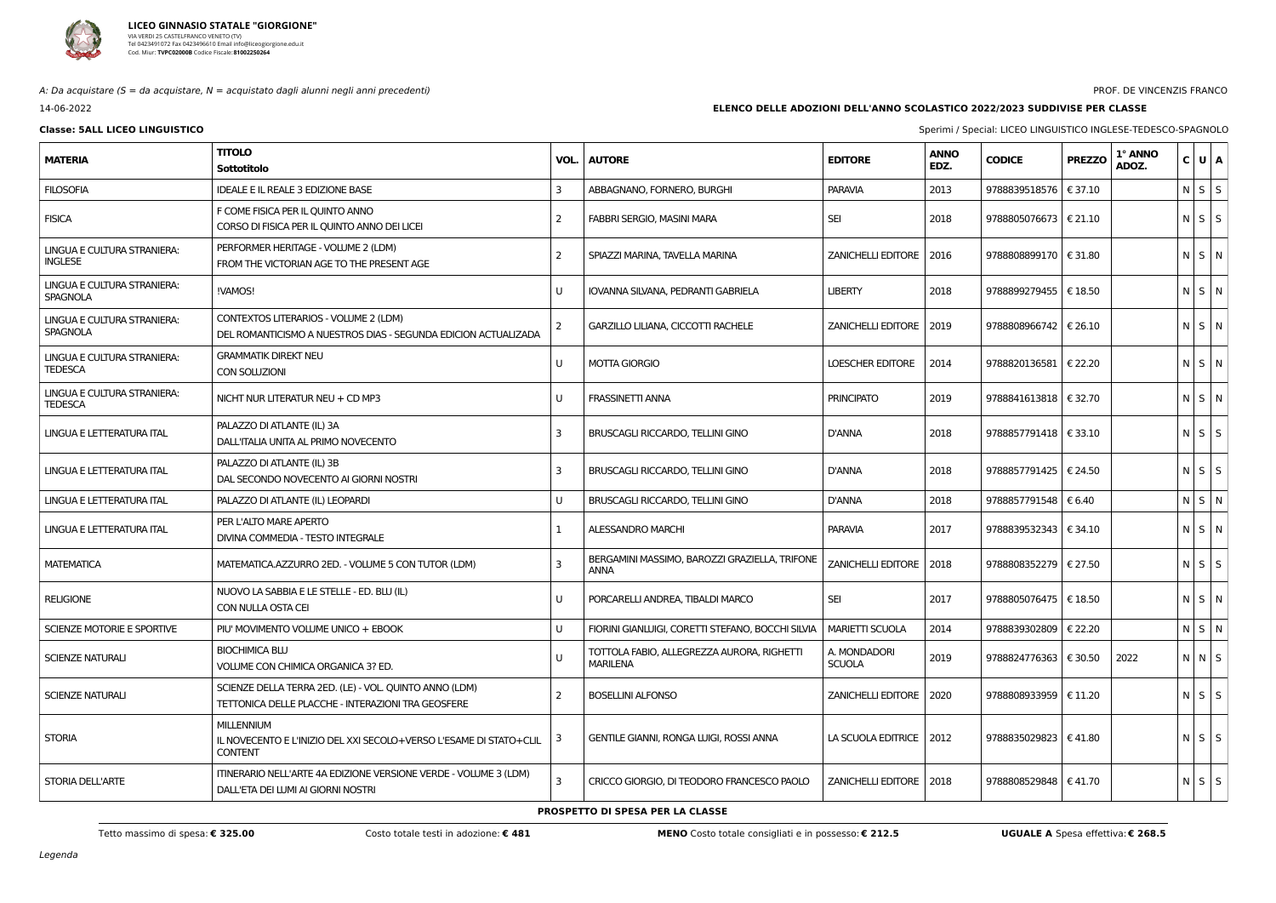

A: Da acquistare ( $S = da$  acquistare,  $N = ac$ quistato dagli alunni negli anni precedenti)

14-06-2022

### PROF. DE VINCENZIS FRANCO

# **ELENCO DELLE ADOZIONI DELL'ANNO SCOLASTICO 2022/2023 SUDDIVISE PER CLASSE**

| <b>EDITORE</b>                | <b>ANNO</b><br>EDZ. | <b>CODICE</b> | <b>PREZZO</b> | 1° ANNO<br>ADOZ. | C | U | A       |
|-------------------------------|---------------------|---------------|---------------|------------------|---|---|---------|
| <b>PARAVIA</b>                | 2013                | 9788839518576 | € 37.10       |                  | N | S | S       |
| <b>SEI</b>                    | 2018                | 9788805076673 | € 21.10       |                  | N | S | S       |
| <b>ZANICHELLI EDITORE</b>     | 2016                | 9788808899170 | € 31.80       |                  | N | S | N       |
| LIBERTY                       | 2018                | 9788899279455 | € 18.50       |                  | N | S | N       |
| <b>ZANICHELLI EDITORE</b>     | 2019                | 9788808966742 | € 26.10       |                  | N | S | N       |
| <b>LOESCHER EDITORE</b>       | 2014                | 9788820136581 | € 22.20       |                  | N | S | N       |
| <b>PRINCIPATO</b>             | 2019                | 9788841613818 | € 32.70       |                  | N | S | N       |
| D'ANNA                        | 2018                | 9788857791418 | € 33.10       |                  | N | S | S       |
| D'ANNA                        | 2018                | 9788857791425 | € 24.50       |                  | N | S | S       |
| D'ANNA                        | 2018                | 9788857791548 | € 6.40        |                  | N | S | N       |
| PARAVIA                       | 2017                | 9788839532343 | € 34.10       |                  | N | S | N       |
| <b>ZANICHELLI EDITORE</b>     | 2018                | 9788808352279 | € 27.50       |                  | N | S | S       |
| SEI                           | 2017                | 9788805076475 | € 18.50       |                  | N | S | N       |
| <b>MARIETTI SCUOLA</b>        | 2014                | 9788839302809 | € 22.20       |                  | N | S | N       |
| a. Mondadori<br><b>SCUOLA</b> | 2019                | 9788824776363 | € 30.50       | 2022             | N | N | S       |
| <b>ZANICHELLI EDITORE</b>     | 2020                | 9788808933959 | € 11.20       |                  | N | S | $\sf S$ |
| LA SCUOLA EDITRICE            | 2012                | 9788835029823 | €41.80        |                  | N | S | S       |
| <b>ZANICHELLI EDITORE</b>     | 2018                | 9788808529848 | €41.70        |                  | N | S | S       |

**Classe: 5ALL LICEO LINGUISTICO CONSUMISTICO INGLESE-TEDESCO-SPAGNOLO** 

| <b>MATERIA</b>                                 | <b>TITOLO</b><br><b>Sottotitolo</b>                                                                          | VOL.           | <b>AUTORE</b>                                                          | <b>EDITORE</b>                | <b>ANNO</b><br>EDZ. | <b>CODICE</b>           | <b>PREZZO</b> | 1° ANNO<br>ADOZ. | $C$ U $A$         |
|------------------------------------------------|--------------------------------------------------------------------------------------------------------------|----------------|------------------------------------------------------------------------|-------------------------------|---------------------|-------------------------|---------------|------------------|-------------------|
| <b>FILOSOFIA</b>                               | IDEALE E IL REALE 3 EDIZIONE BASE                                                                            | 3              | ABBAGNANO, FORNERO, BURGHI                                             | <b>PARAVIA</b>                | 2013                | 9788839518576   € 37.10 |               |                  | $N$ $S$ $S$       |
| <b>FISICA</b>                                  | F COME FISICA PER IL QUINTO ANNO<br>CORSO DI FISICA PER IL QUINTO ANNO DEI LICEI                             | 2              | FABBRI SERGIO, MASINI MARA                                             | <b>SEI</b>                    | 2018                | 9788805076673   € 21.10 |               |                  | $N \mid S \mid S$ |
| LINGUA E CULTURA STRANIERA:<br><b>INGLESE</b>  | PERFORMER HERITAGE - VOLUME 2 (LDM)<br>FROM THE VICTORIAN AGE TO THE PRESENT AGE                             | 2              | SPIAZZI MARINA, TAVELLA MARINA                                         | ZANICHELLI EDITORE   2016     |                     | 9788808899170   € 31.80 |               |                  | N S N             |
| LINGUA E CULTURA STRANIERA:<br><b>SPAGNOLA</b> | !VAMOS!                                                                                                      | U              | IOVANNA SILVANA, PEDRANTI GABRIELA                                     | <b>LIBERTY</b>                | 2018                | 9788899279455   € 18.50 |               |                  | N S N             |
| LINGUA E CULTURA STRANIERA:<br>SPAGNOLA        | CONTEXTOS LITERARIOS - VOLUME 2 (LDM)<br>DEL ROMANTICISMO A NUESTROS DIAS - SEGUNDA EDICION ACTUALIZADA      | $\overline{2}$ | GARZILLO LILIANA, CICCOTTI RACHELE                                     | ZANICHELLI EDITORE   2019     |                     | 9788808966742   € 26.10 |               |                  | N S N             |
| LINGUA E CULTURA STRANIERA:<br><b>TEDESCA</b>  | <b>GRAMMATIK DIREKT NEU</b><br><b>CON SOLUZIONI</b>                                                          | U              | <b>MOTTA GIORGIO</b>                                                   | <b>LOESCHER EDITORE</b>       | 2014                | 9788820136581   € 22.20 |               |                  | $N$ $S$ $N$       |
| LINGUA E CULTURA STRANIERA:<br><b>TEDESCA</b>  | NICHT NUR LITERATUR NEU + CD MP3                                                                             | U              | <b>FRASSINETTI ANNA</b>                                                | <b>PRINCIPATO</b>             | 2019                | 9788841613818   € 32.70 |               |                  | $N$ $S$ $N$       |
| LINGUA E LETTERATURA ITAL                      | PALAZZO DI ATLANTE (IL) 3A<br>DALL'ITALIA UNITA AL PRIMO NOVECENTO                                           | 3              | BRUSCAGLI RICCARDO, TELLINI GINO                                       | <b>D'ANNA</b>                 | 2018                | 9788857791418   € 33.10 |               |                  | $N$ $S$ $S$       |
| LINGUA E LETTERATURA ITAL                      | PALAZZO DI ATLANTE (IL) 3B<br>DAL SECONDO NOVECENTO AI GIORNI NOSTRI                                         | 3              | <b>BRUSCAGLI RICCARDO, TELLINI GINO</b>                                | <b>D'ANNA</b>                 | 2018                | 9788857791425   € 24.50 |               |                  | $N$ $S$ $S$       |
| LINGUA E LETTERATURA ITAL                      | PALAZZO DI ATLANTE (IL) LEOPARDI                                                                             | U              | BRUSCAGLI RICCARDO, TELLINI GINO                                       | <b>D'ANNA</b>                 | 2018                | 9788857791548           | € 6.40        |                  | NSN               |
| LINGUA E LETTERATURA ITAL                      | PER L'ALTO MARE APERTO<br>DIVINA COMMEDIA - TESTO INTEGRALE                                                  |                | <b>ALESSANDRO MARCHI</b>                                               | <b>PARAVIA</b>                | 2017                | 9788839532343   € 34.10 |               |                  | N S N             |
| <b>MATEMATICA</b>                              | MATEMATICA.AZZURRO 2ED. - VOLUME 5 CON TUTOR (LDM)                                                           | 3              | BERGAMINI MASSIMO, BAROZZI GRAZIELLA, TRIFONE<br><b>ANNA</b>           | ZANICHELLI EDITORE   2018     |                     | 9788808352279   € 27.50 |               |                  | $N$ $S$ $S$       |
| <b>RELIGIONE</b>                               | NUOVO LA SABBIA E LE STELLE - ED. BLU (IL)<br>CON NULLA OSTA CEI                                             | U              | PORCARELLI ANDREA. TIBALDI MARCO                                       | <b>SEI</b>                    | 2017                | 9788805076475   € 18.50 |               |                  | $N$ $S$ $N$       |
| SCIENZE MOTORIE E SPORTIVE                     | PIU' MOVIMENTO VOLUME UNICO + EBOOK                                                                          |                | FIORINI GIANLUIGI, CORETTI STEFANO, BOCCHI SILVIA                      | <b>MARIETTI SCUOLA</b>        | 2014                | 9788839302809   € 22.20 |               |                  | N S N             |
| <b>SCIENZE NATURALI</b>                        | <b>BIOCHIMICA BLU</b><br>VOLUME CON CHIMICA ORGANICA 3? ED.                                                  |                | TOTTOLA FABIO, ALLEGREZZA AURORA, RIGHETTI<br><b>MARILENA</b>          | A. MONDADORI<br><b>SCUOLA</b> | 2019                | 9788824776363   € 30.50 |               | 2022             | N N S             |
| <b>SCIENZE NATURALI</b>                        | SCIENZE DELLA TERRA 2ED. (LE) - VOL. QUINTO ANNO (LDM)<br>TETTONICA DELLE PLACCHE - INTERAZIONI TRA GEOSFERE | 2              | <b>BOSELLINI ALFONSO</b>                                               | ZANICHELLI EDITORE   2020     |                     | 9788808933959   € 11.20 |               |                  | $N$ $S$ $S$       |
| <b>STORIA</b>                                  | <b>MILLENNIUM</b><br>IL NOVECENTO E L'INIZIO DEL XXI SECOLO+VERSO L'ESAME DI STATO+CLIL<br><b>CONTENT</b>    | 3              | <b>GENTILE GIANNI, RONGA LUIGI, ROSSI ANNA</b>                         | LA SCUOLA EDITRICE   2012     |                     | 9788835029823   €41.80  |               |                  | $N$ $S$ $S$       |
| STORIA DELL'ARTE                               | ITINERARIO NELL'ARTE 4A EDIZIONE VERSIONE VERDE - VOLUME 3 (LDM)                                             |                | CRICCO GIORGIO, DI TEODORO FRANCESCO PAOLO   ZANICHELLI EDITORE   2018 |                               |                     | 9788808529848   €41.70  |               |                  | $N$ S $S$         |

DALL'ETA DEI LUMI AI GIORNI NOSTRI

**PROSPETTO DI SPESA PER LA CLASSE**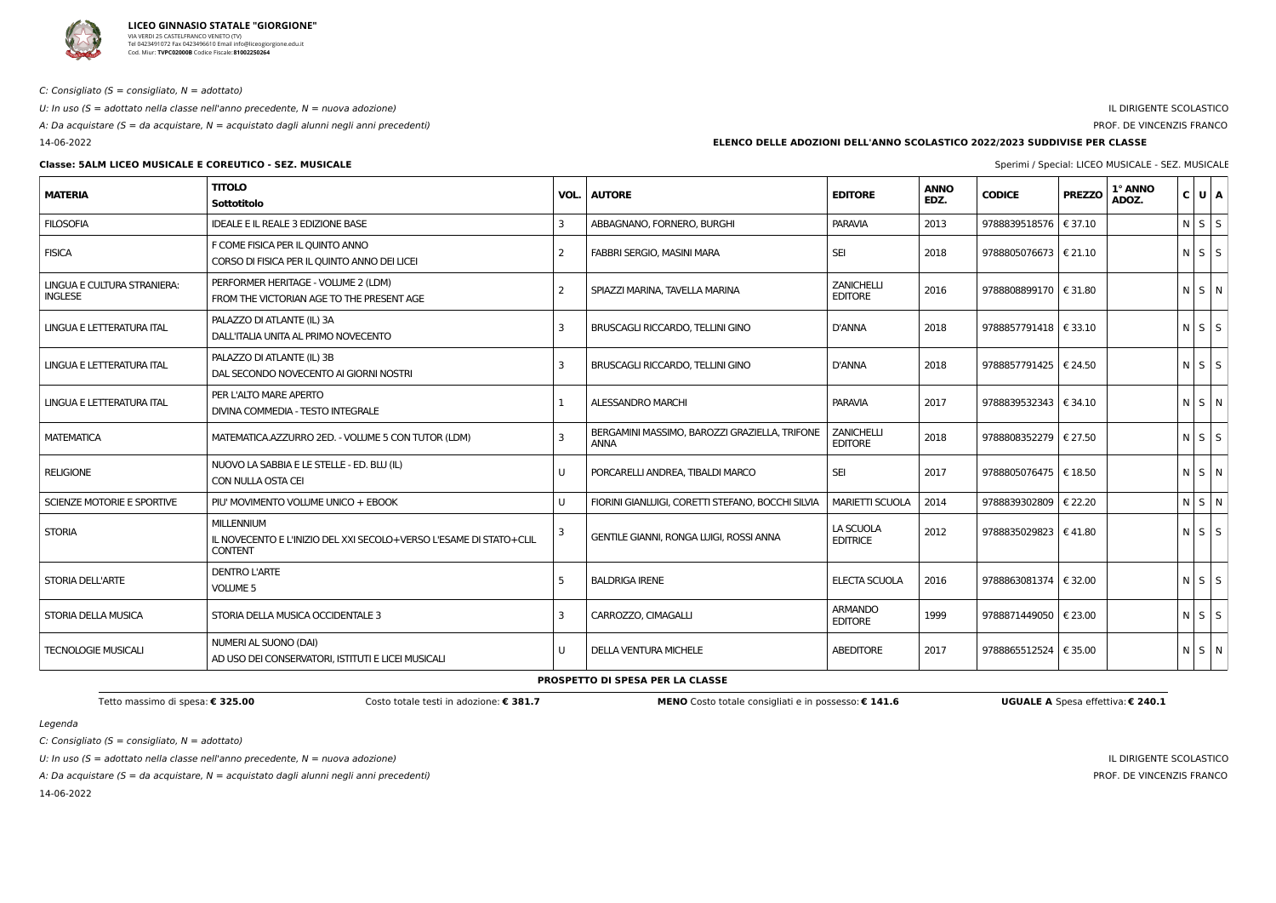

C: Consigliato ( $S =$  consigliato,  $N =$  adottato)

U: In uso ( $S =$  adottato nella classe nell'anno precedente,  $N =$  nuova adozione)

A: Da acquistare (S = da acquistare, N = acquistato dagli alunni negli anni precedenti)

14-06-2022

# **Classe: 5ALM LICEO MUSICALE E COREUTICO - SEZ. MUSICALE** Subset of the state of the special special: LICEO MUSICALE - SEZ. MUSICALE

# IL DIRIGENTE SCOLASTICO

# PROF. DE VINCENZIS FRANCO

Legenda

 $C:$  Consigliato (S = consigliato,  $N =$  adottato)

U: In uso ( $S =$  adottato nella classe nell'anno precedente,  $N =$  nuova adozione)

A: Da acquistare (S = da acquistare,  $N =$  acquistato dagli alunni negli anni precedenti)

14-06-2022

IL DIRIGENTE SCOLASTICO PROF. DE VINCENZIS FRANCO

# **ELENCO DELLE ADOZIONI DELL'ANNO SCOLASTICO 2022/2023 SUDDIVISE PER CLASSE**

| <b>MATERIA</b>                                | <b>TITOLO</b><br>Sottotitolo                                                                              | VOL.         | <b>AUTORE</b>                                                | <b>EDITORE</b>                      | <b>ANNO</b><br>EDZ. | <b>CODICE</b>             | <b>PREZZO</b> | 1° ANNO<br>ADOZ. | $C$ $U$ $A$       |
|-----------------------------------------------|-----------------------------------------------------------------------------------------------------------|--------------|--------------------------------------------------------------|-------------------------------------|---------------------|---------------------------|---------------|------------------|-------------------|
| <b>FILOSOFIA</b>                              | IDEALE E IL REALE 3 EDIZIONE BASE                                                                         | 3            | ABBAGNANO, FORNERO, BURGHI                                   | <b>PARAVIA</b>                      | 2013                | 9788839518576   € 37.10   |               |                  | N S S             |
| <b>FISICA</b>                                 | F COME FISICA PER IL QUINTO ANNO<br>CORSO DI FISICA PER IL QUINTO ANNO DEI LICEI                          | 2            | <b>FABBRI SERGIO, MASINI MARA</b>                            | <b>SEI</b>                          | 2018                | 9788805076673 $\in$ 21.10 |               |                  | $N$ $S$ $S$       |
| LINGUA E CULTURA STRANIERA:<br><b>INGLESE</b> | PERFORMER HERITAGE - VOLUME 2 (LDM)<br>FROM THE VICTORIAN AGE TO THE PRESENT AGE                          | 2            | SPIAZZI MARINA, TAVELLA MARINA                               | <b>ZANICHELLI</b><br><b>EDITORE</b> | 2016                | 9788808899170   € 31.80   |               |                  | $N$ $S$ $N$       |
| LINGUA E LETTERATURA ITAL                     | PALAZZO DI ATLANTE (IL) 3A<br>DALL'ITALIA UNITA AL PRIMO NOVECENTO                                        | $\mathbf{3}$ | BRUSCAGLI RICCARDO, TELLINI GINO                             | <b>D'ANNA</b>                       | 2018                | 9788857791418 $\in$ 33.10 |               |                  | $N$ $S$ $S$       |
| LINGUA E LETTERATURA ITAL                     | PALAZZO DI ATLANTE (IL) 3B<br>DAL SECONDO NOVECENTO AI GIORNI NOSTRI                                      | 3            | BRUSCAGLI RICCARDO, TELLINI GINO                             | <b>D'ANNA</b>                       | 2018                | 9788857791425   € 24.50   |               |                  | NSS               |
| LINGUA E LETTERATURA ITAL                     | PER L'ALTO MARE APERTO<br>DIVINA COMMEDIA - TESTO INTEGRALE                                               |              | ALESSANDRO MARCHI                                            | <b>PARAVIA</b>                      | 2017                | 9788839532343   € 34.10   |               |                  | N S N             |
| <b>MATEMATICA</b>                             | MATEMATICA.AZZURRO 2ED. - VOLUME 5 CON TUTOR (LDM)                                                        | 3            | BERGAMINI MASSIMO, BAROZZI GRAZIELLA, TRIFONE<br><b>ANNA</b> | <b>ZANICHELLI</b><br><b>EDITORE</b> | 2018                | 9788808352279   € 27.50   |               |                  | $N$ $S$ $S$       |
| <b>RELIGIONE</b>                              | NUOVO LA SABBIA E LE STELLE - ED. BLU (IL)<br>CON NULLA OSTA CEI                                          | U            | PORCARELLI ANDREA, TIBALDI MARCO                             | <b>SEI</b>                          | 2017                | 9788805076475   € 18.50   |               |                  | $N$ $S$ $N$       |
| SCIENZE MOTORIE E SPORTIVE                    | PIU' MOVIMENTO VOLUME UNICO + EBOOK                                                                       | U            | FIORINI GIANLUIGI, CORETTI STEFANO, BOCCHI SILVIA            | <b>MARIETTI SCUOLA</b>              | 2014                | 9788839302809   € 22.20   |               |                  | N S N             |
| <b>STORIA</b>                                 | <b>MILLENNIUM</b><br>IL NOVECENTO E L'INIZIO DEL XXI SECOLO+VERSO L'ESAME DI STATO+CLIL<br><b>CONTENT</b> |              | GENTILE GIANNI, RONGA LUIGI, ROSSI ANNA                      | LA SCUOLA<br><b>EDITRICE</b>        | 2012                | 9788835029823   € 41.80   |               |                  | NSS               |
| <b>STORIA DELL'ARTE</b>                       | <b>DENTRO L'ARTE</b><br><b>VOLUME 5</b>                                                                   | 5            | <b>BALDRIGA IRENE</b>                                        | <b>ELECTA SCUOLA</b>                | 2016                | 9788863081374   € 32.00   |               |                  | $N \mid S \mid S$ |
| STORIA DELLA MUSICA                           | STORIA DELLA MUSICA OCCIDENTALE 3                                                                         | 3            | CARROZZO, CIMAGALLI                                          | <b>ARMANDO</b><br><b>EDITORE</b>    | 1999                | 9788871449050   € 23.00   |               |                  | $N \mid S \mid S$ |
| <b>TECNOLOGIE MUSICALI</b>                    | NUMERI AL SUONO (DAI)<br>AD USO DEI CONSERVATORI, ISTITUTI E LICEI MUSICALI                               | U            | <b>DELLA VENTURA MICHELE</b>                                 | <b>ABEDITORE</b>                    | 2017                | 9788865512524   € 35.00   |               |                  | N S N             |

**PROSPETTO DI SPESA PER LA CLASSE**

Tetto massimo di spesa: € 325.00 Costo totale testi in adozione: € 381.7 MENO Costo totale consigliati e in possesso: € 141.6 UGUALE A Spesa effettiva: € 240.1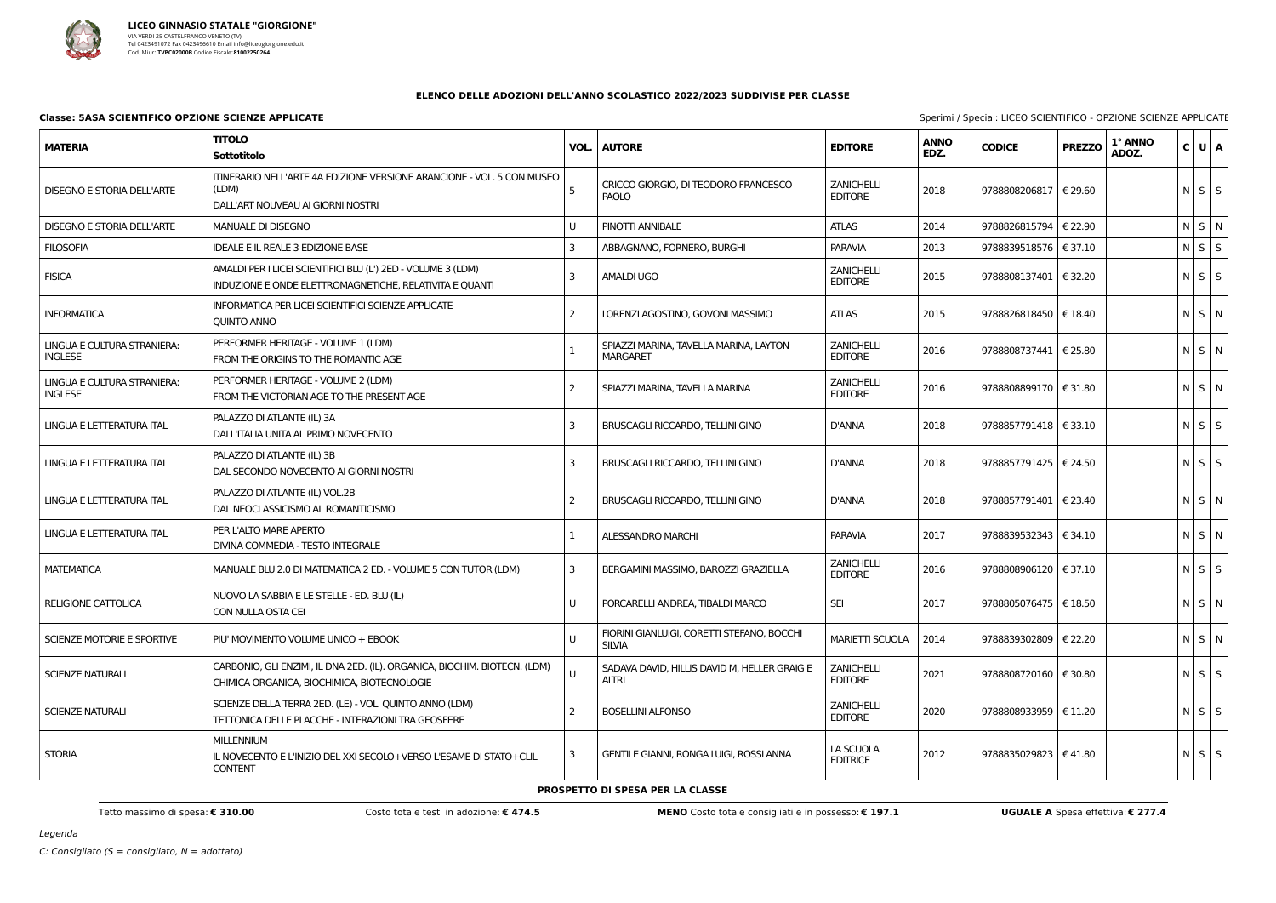

## **ELENCO DELLE ADOZIONI DELL'ANNO SCOLASTICO 2022/2023 SUDDIVISE PER CLASSE**

### **Classe: 5ASA SCIENTIFICO OPZIONE SCIENZE APPLICATE** Special: LICEO SCIENTIFICO - OPZIONE SCIENZE APPLICATE

| <b>MATERIA</b>                                | <b>TITOLO</b><br><b>Sottotitolo</b>                                                                                      | VOL.          | <b>AUTORE</b>                                               | <b>EDITORE</b>                      | <b>ANNO</b><br>EDZ. | <b>CODICE</b>           | <b>PREZZO</b> | 1° ANNO<br>ADOZ. | C U A       |  |
|-----------------------------------------------|--------------------------------------------------------------------------------------------------------------------------|---------------|-------------------------------------------------------------|-------------------------------------|---------------------|-------------------------|---------------|------------------|-------------|--|
| <b>DISEGNO E STORIA DELL'ARTE</b>             | ITINERARIO NELL'ARTE 4A EDIZIONE VERSIONE ARANCIONE - VOL. 5 CON MUSEO<br>(LDM)<br>DALL'ART NOUVEAU AI GIORNI NOSTRI     |               | CRICCO GIORGIO, DI TEODORO FRANCESCO<br>PAOLO               | <b>ZANICHELLI</b><br><b>EDITORE</b> | 2018                | 9788808206817   € 29.60 |               |                  | $N$ $S$ $S$ |  |
| <b>DISEGNO E STORIA DELL'ARTE</b>             | <b>MANUALE DI DISEGNO</b>                                                                                                | U             | PINOTTI ANNIBALE                                            | <b>ATLAS</b>                        | 2014                | 9788826815794   € 22.90 |               |                  | NSN         |  |
| <b>FILOSOFIA</b>                              | <b>IDEALE E IL REALE 3 EDIZIONE BASE</b>                                                                                 |               | ABBAGNANO, FORNERO, BURGHI                                  | <b>PARAVIA</b>                      | 2013                | 9788839518576   € 37.10 |               |                  | $N$ $S$ $S$ |  |
| <b>FISICA</b>                                 | AMALDI PER I LICEI SCIENTIFICI BLU (L') 2ED - VOLUME 3 (LDM)<br>INDUZIONE E ONDE ELETTROMAGNETICHE, RELATIVITA E QUANTI  | 3             | <b>AMALDI UGO</b>                                           | <b>ZANICHELLI</b><br><b>EDITORE</b> | 2015                | 9788808137401   € 32.20 |               |                  | $N$ $S$ $S$ |  |
| <b>INFORMATICA</b>                            | INFORMATICA PER LICEI SCIENTIFICI SCIENZE APPLICATE<br><b>QUINTO ANNO</b>                                                | 2             | LORENZI AGOSTINO, GOVONI MASSIMO                            | <b>ATLAS</b>                        | 2015                | 9788826818450   € 18.40 |               |                  | N S N       |  |
| LINGUA E CULTURA STRANIERA:<br><b>INGLESE</b> | PERFORMER HERITAGE - VOLUME 1 (LDM)<br>FROM THE ORIGINS TO THE ROMANTIC AGE                                              |               | SPIAZZI MARINA, TAVELLA MARINA, LAYTON<br><b>MARGARET</b>   | <b>ZANICHELLI</b><br><b>EDITORE</b> | 2016                | 9788808737441   € 25.80 |               |                  | N S N       |  |
| LINGUA E CULTURA STRANIERA:<br><b>INGLESE</b> | PERFORMER HERITAGE - VOLUME 2 (LDM)<br>FROM THE VICTORIAN AGE TO THE PRESENT AGE                                         | $\mathcal{P}$ | SPIAZZI MARINA, TAVELLA MARINA                              | <b>ZANICHELLI</b><br><b>EDITORE</b> | 2016                | 9788808899170   € 31.80 |               |                  | N S N       |  |
| LINGUA E LETTERATURA ITAL                     | PALAZZO DI ATLANTE (IL) 3A<br>DALL'ITALIA UNITA AL PRIMO NOVECENTO                                                       | 3             | <b>BRUSCAGLI RICCARDO, TELLINI GINO</b>                     | <b>D'ANNA</b>                       | 2018                | 9788857791418   € 33.10 |               |                  | $N$ $S$ $S$ |  |
| LINGUA E LETTERATURA ITAL                     | PALAZZO DI ATLANTE (IL) 3B<br>DAL SECONDO NOVECENTO AI GIORNI NOSTRI                                                     | 3             | BRUSCAGLI RICCARDO, TELLINI GINO                            | <b>D'ANNA</b>                       | 2018                | 9788857791425   € 24.50 |               |                  | $N$ $S$ $S$ |  |
| LINGUA E LETTERATURA ITAL                     | PALAZZO DI ATLANTE (IL) VOL.2B<br>DAL NEOCLASSICISMO AL ROMANTICISMO                                                     | 2             | <b>BRUSCAGLI RICCARDO, TELLINI GINO</b>                     | <b>D'ANNA</b>                       | 2018                | 9788857791401   € 23.40 |               |                  | N S N       |  |
| LINGUA E LETTERATURA ITAL                     | PER L'ALTO MARE APERTO<br>DIVINA COMMEDIA - TESTO INTEGRALE                                                              |               | <b>ALESSANDRO MARCHI</b>                                    | <b>PARAVIA</b>                      | 2017                | 9788839532343   € 34.10 |               |                  | N S N       |  |
| <b>MATEMATICA</b>                             | MANUALE BLU 2.0 DI MATEMATICA 2 ED. - VOLUME 5 CON TUTOR (LDM)                                                           | 3             | BERGAMINI MASSIMO, BAROZZI GRAZIELLA                        | <b>ZANICHELLI</b><br><b>EDITORE</b> | 2016                | 9788808906120   € 37.10 |               |                  | $N$ $S$ $S$ |  |
| RELIGIONE CATTOLICA                           | NUOVO LA SABBIA E LE STELLE - ED. BLU (IL)<br>CON NULLA OSTA CEI                                                         |               | PORCARELLI ANDREA, TIBALDI MARCO                            | <b>SEI</b>                          | 2017                | 9788805076475   € 18.50 |               |                  | $N$ $S$ $N$ |  |
| SCIENZE MOTORIE E SPORTIVE                    | PIU' MOVIMENTO VOLUME UNICO + EBOOK                                                                                      | U             | FIORINI GIANLUIGI, CORETTI STEFANO, BOCCHI<br><b>SILVIA</b> | <b>MARIETTI SCUOLA</b>              | 2014                | 9788839302809   € 22.20 |               |                  | $N$ $S$ $N$ |  |
| <b>SCIENZE NATURALI</b>                       | CARBONIO, GLI ENZIMI, IL DNA 2ED. (IL). ORGANICA, BIOCHIM. BIOTECN. (LDM)<br>CHIMICA ORGANICA, BIOCHIMICA, BIOTECNOLOGIE | U             | SADAVA DAVID, HILLIS DAVID M, HELLER GRAIG E<br>ALTRI       | <b>ZANICHELLI</b><br><b>EDITORE</b> | 2021                | 9788808720160   € 30.80 |               |                  | $N$ $S$ $S$ |  |
| <b>SCIENZE NATURALI</b>                       | SCIENZE DELLA TERRA 2ED. (LE) - VOL. QUINTO ANNO (LDM)<br>TETTONICA DELLE PLACCHE - INTERAZIONI TRA GEOSFERE             |               | <b>BOSELLINI ALFONSO</b>                                    | <b>ZANICHELLI</b><br><b>EDITORE</b> | 2020                | 9788808933959   € 11.20 |               |                  | $N$ $S$ $S$ |  |
| <b>STORIA</b>                                 | <b>MILLENNIUM</b><br>IL NOVECENTO E L'INIZIO DEL XXI SECOLO+VERSO L'ESAME DI STATO+CLIL<br><b>CONTENT</b>                | 3             | <b>GENTILE GIANNI, RONGA LUIGI, ROSSI ANNA</b>              | LA SCUOLA<br><b>EDITRICE</b>        | 2012                | 9788835029823   € 41.80 |               |                  | $N$ $S$ $S$ |  |

Tetto massimo di spesa: € 310.00 Costo totale testi in adozione: € 474.5 MENO Costo totale consigliati e in possesso: € 197.1 UGUALE A Spesa effettiva: € 277.4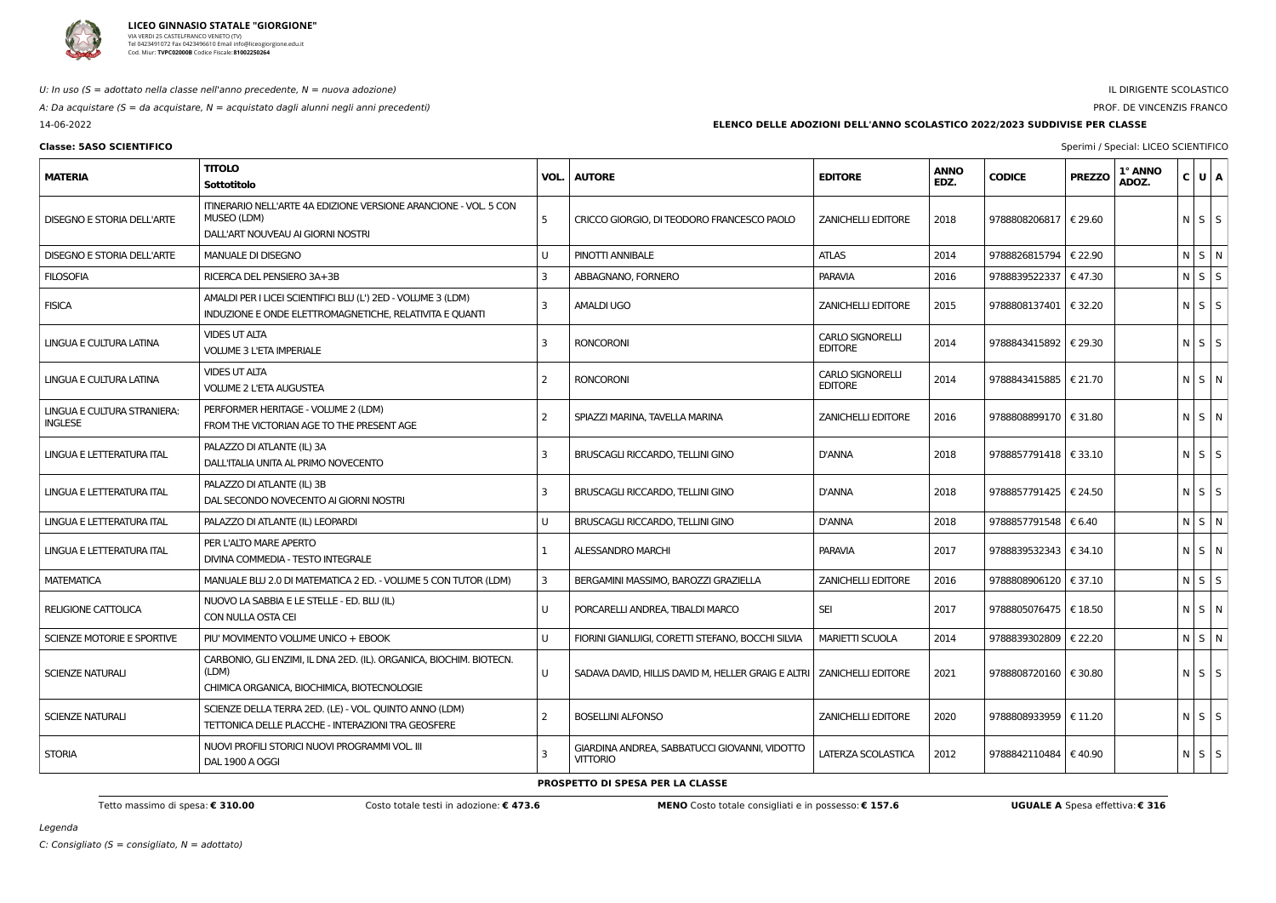

U: In uso  $(S = adottato$  nella classe nell'anno precedente,  $N = nuova$  adozione)

A: Da acquistare ( $S = da$  acquistare,  $N = ac$ quistato dagli alunni negli anni precedenti)

14-06-2022

# IL DIRIGENTE SCOLASTICO

# PROF. DE VINCENZIS FRANCO

# **Classe: 5ASO SCIENTIFICO** Sperimi / Special: LICEO SCIENTIFICO

Legenda

**ELENCO DELLE ADOZIONI DELL'ANNO SCOLASTICO 2022/2023 SUDDIVISE PER CLASSE**

| <b>MATERIA</b>                                | <b>TITOLO</b><br>Sottotitolo                                                                                                | VOL.           | <b>AUTORE</b>                                                           | <b>EDITORE</b>                            | <b>ANNO</b><br>EDZ. | <b>CODICE</b>                    | <b>PREZZO</b> | 1° ANNO<br>ADOZ. | $C$ UA      |  |
|-----------------------------------------------|-----------------------------------------------------------------------------------------------------------------------------|----------------|-------------------------------------------------------------------------|-------------------------------------------|---------------------|----------------------------------|---------------|------------------|-------------|--|
| <b>DISEGNO E STORIA DELL'ARTE</b>             | ITINERARIO NELL'ARTE 4A EDIZIONE VERSIONE ARANCIONE - VOL. 5 CON<br>MUSEO (LDM)<br>DALL'ART NOUVEAU AI GIORNI NOSTRI        | -5             | CRICCO GIORGIO, DI TEODORO FRANCESCO PAOLO                              | <b>ZANICHELLI EDITORE</b>                 | 2018                | 9788808206817   € 29.60          |               |                  | $N$ $S$ $S$ |  |
| <b>DISEGNO E STORIA DELL'ARTE</b>             | <b>MANUALE DI DISEGNO</b>                                                                                                   | U              | PINOTTI ANNIBALE                                                        | <b>ATLAS</b>                              | 2014                | 9788826815794   € 22.90          |               |                  | N S N       |  |
| <b>FILOSOFIA</b>                              | RICERCA DEL PENSIERO 3A+3B                                                                                                  | 3              | ABBAGNANO, FORNERO                                                      | <b>PARAVIA</b>                            | 2016                | 9788839522337   € 47.30          |               |                  | $N$ $S$ $S$ |  |
| <b>FISICA</b>                                 | AMALDI PER I LICEI SCIENTIFICI BLU (L') 2ED - VOLUME 3 (LDM)<br>INDUZIONE E ONDE ELETTROMAGNETICHE, RELATIVITA E QUANTI     | 3              | <b>AMALDI UGO</b>                                                       | <b>ZANICHELLI EDITORE</b>                 | 2015                | 9788808137401   € 32.20          |               |                  | $N$ S S     |  |
| LINGUA E CULTURA LATINA                       | <b>VIDES UT ALTA</b><br><b>VOLUME 3 L'ETA IMPERIALE</b>                                                                     | 3              | <b>RONCORONI</b>                                                        | <b>CARLO SIGNORELLI</b><br><b>EDITORE</b> | 2014                | 9788843415892   € 29.30          |               |                  | $N$ $S$ $S$ |  |
| LINGUA E CULTURA LATINA                       | <b>VIDES UT ALTA</b><br><b>VOLUME 2 L'ETA AUGUSTEA</b>                                                                      | 2              | <b>RONCORONI</b>                                                        | <b>CARLO SIGNORELLI</b><br><b>EDITORE</b> | 2014                | 9788843415885   € 21.70          |               |                  | $N$ S $N$   |  |
| LINGUA E CULTURA STRANIERA:<br><b>INGLESE</b> | PERFORMER HERITAGE - VOLUME 2 (LDM)<br>FROM THE VICTORIAN AGE TO THE PRESENT AGE                                            | 2              | SPIAZZI MARINA, TAVELLA MARINA                                          | <b>ZANICHELLI EDITORE</b>                 | 2016                | 9788808899170   € 31.80          |               |                  | $N$ $S$ $N$ |  |
| LINGUA E LETTERATURA ITAL                     | PALAZZO DI ATLANTE (IL) 3A<br>DALL'ITALIA UNITA AL PRIMO NOVECENTO                                                          | 3              | BRUSCAGLI RICCARDO, TELLINI GINO                                        | <b>D'ANNA</b>                             | 2018                | 9788857791418   € 33.10          |               |                  | $N$ $S$ $S$ |  |
| LINGUA E LETTERATURA ITAL                     | PALAZZO DI ATLANTE (IL) 3B<br>DAL SECONDO NOVECENTO AI GIORNI NOSTRI                                                        | 3              | BRUSCAGLI RICCARDO, TELLINI GINO                                        | D'ANNA                                    | 2018                | 9788857791425   € 24.50          |               |                  | $N$ $S$ $S$ |  |
| LINGUA E LETTERATURA ITAL                     | PALAZZO DI ATLANTE (IL) LEOPARDI                                                                                            | U              | BRUSCAGLI RICCARDO, TELLINI GINO                                        | <b>D'ANNA</b>                             | 2018                | 9788857791548   € 6.40           |               |                  | NS N        |  |
| LINGUA E LETTERATURA ITAL                     | PER L'ALTO MARE APERTO<br>DIVINA COMMEDIA - TESTO INTEGRALE                                                                 |                | ALESSANDRO MARCHI                                                       | <b>PARAVIA</b>                            | 2017                | 9788839532343   $\epsilon$ 34.10 |               |                  | $N$ $S$ $N$ |  |
| <b>MATEMATICA</b>                             | MANUALE BLU 2.0 DI MATEMATICA 2 ED. - VOLUME 5 CON TUTOR (LDM)                                                              | 3              | BERGAMINI MASSIMO, BAROZZI GRAZIELLA                                    | <b>ZANICHELLI EDITORE</b>                 | 2016                | 9788808906120                    | € 37.10       |                  | $N$ $S$ $S$ |  |
| <b>RELIGIONE CATTOLICA</b>                    | NUOVO LA SABBIA E LE STELLE - ED. BLU (IL)<br>CON NULLA OSTA CEI                                                            | U              | PORCARELLI ANDREA, TIBALDI MARCO                                        | <b>SEI</b>                                | 2017                | 9788805076475   € 18.50          |               |                  | NSN         |  |
| SCIENZE MOTORIE E SPORTIVE                    | PIU' MOVIMENTO VOLUME UNICO + EBOOK                                                                                         | U              | FIORINI GIANLUIGI, CORETTI STEFANO, BOCCHI SILVIA                       | <b>MARIETTI SCUOLA</b>                    | 2014                | 9788839302809   € 22.20          |               |                  | $N$ S $N$   |  |
| SCIENZE NATURALI                              | CARBONIO, GLI ENZIMI, IL DNA 2ED. (IL). ORGANICA, BIOCHIM. BIOTECN.<br>(LDM)<br>CHIMICA ORGANICA, BIOCHIMICA, BIOTECNOLOGIE | U              | SADAVA DAVID, HILLIS DAVID M, HELLER GRAIG E ALTRI   ZANICHELLI EDITORE |                                           | 2021                | 9788808720160   € 30.80          |               |                  | $N$ $S$ $S$ |  |
| <b>SCIENZE NATURALI</b>                       | SCIENZE DELLA TERRA 2ED. (LE) - VOL. QUINTO ANNO (LDM)<br>TETTONICA DELLE PLACCHE - INTERAZIONI TRA GEOSFERE                | $\overline{2}$ | <b>BOSELLINI ALFONSO</b>                                                | <b>ZANICHELLI EDITORE</b>                 | 2020                | 9788808933959   € 11.20          |               |                  | $N$ $S$ $S$ |  |
| <b>STORIA</b>                                 | NUOVI PROFILI STORICI NUOVI PROGRAMMI VOL. III<br>DAL 1900 A OGGI                                                           | 3              | GIARDINA ANDREA, SABBATUCCI GIOVANNI, VIDOTTO<br><b>VITTORIO</b>        | LATERZA SCOLASTICA                        | 2012                | 9788842110484   € 40.90          |               |                  | $N$ $S$ $S$ |  |

**PROSPETTO DI SPESA PER LA CLASSE**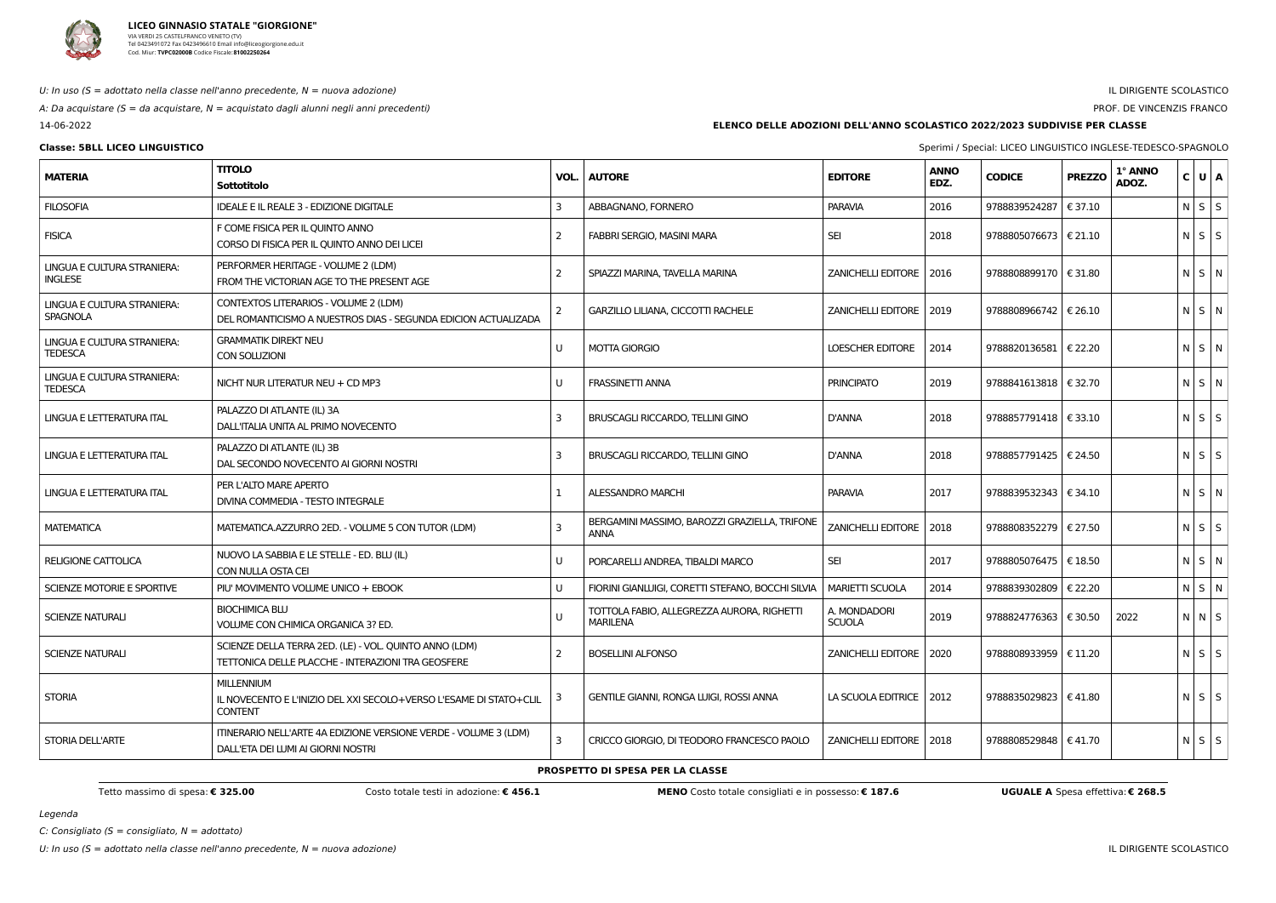

### U: In uso ( $S =$  adottato nella classe nell'anno precedente,  $N =$  nuova adozione)

A: Da acquistare (S = da acquistare,  $N =$  acquistato dagli alunni negli anni precedenti)

14-06-2022

# IL DIRIGENTE SCOLASTICO

PROF. DE VINCENZIS FRANCO

**Classe: 5BLL LICEO LINGUISTICO** Sperimi / Special: LICEO LINGUISTICO INGLESE-TEDESCO-SPAGNOLO

Legenda

C: Consigliato ( $S =$  consigliato,  $N =$  adottato)

U: In uso (S = adottato nella classe nell'anno precedente, N = nuova adozione) in the second controller substitution of the second of the second of the second of the DIRIGENTE SCOLASTICO in the DIRIGENTE SCOLASTICO in the

**ELENCO DELLE ADOZIONI DELL'ANNO SCOLASTICO 2022/2023 SUDDIVISE PER CLASSE**

| <b>MATERIA</b>                                | <b>TITOLO</b><br><b>Sottotitolo</b>                                                                          | VOL. | <b>AUTORE</b>                                                 | <b>EDITORE</b>            | <b>ANNO</b><br>EDZ. | <b>CODICE</b>           | <b>PREZZO</b>    | 1° ANNO<br>ADOZ. | $C$ $U$ $A$ |  |
|-----------------------------------------------|--------------------------------------------------------------------------------------------------------------|------|---------------------------------------------------------------|---------------------------|---------------------|-------------------------|------------------|------------------|-------------|--|
| <b>FILOSOFIA</b>                              | <b>IDEALE E IL REALE 3 - EDIZIONE DIGITALE</b>                                                               | 3    | ABBAGNANO, FORNERO                                            | <b>PARAVIA</b>            | 2016                | 9788839524287           | € 37.10          |                  | $N$ $S$ $S$ |  |
| <b>FISICA</b>                                 | F COME FISICA PER IL QUINTO ANNO<br>CORSO DI FISICA PER IL QUINTO ANNO DEI LICEI                             | -2   | FABBRI SERGIO, MASINI MARA                                    | <b>SEI</b>                | 2018                | 9788805076673           | $\epsilon$ 21.10 |                  | $N$ $S$ $S$ |  |
| LINGUA E CULTURA STRANIERA:<br><b>INGLESE</b> | PERFORMER HERITAGE - VOLUME 2 (LDM)<br>FROM THE VICTORIAN AGE TO THE PRESENT AGE                             | -2   | SPIAZZI MARINA, TAVELLA MARINA                                | <b>ZANICHELLI EDITORE</b> | 2016                | 9788808899170           | € 31.80          |                  | $N$ S $N$   |  |
| LINGUA E CULTURA STRANIERA:<br>SPAGNOLA       | CONTEXTOS LITERARIOS - VOLUME 2 (LDM)<br>DEL ROMANTICISMO A NUESTROS DIAS - SEGUNDA EDICION ACTUALIZADA      | 2    | GARZILLO LILIANA, CICCOTTI RACHELE                            | ZANICHELLI EDITORE   2019 |                     | 9788808966742           | € 26.10          |                  | $N$ S $N$   |  |
| LINGUA E CULTURA STRANIERA:<br><b>TEDESCA</b> | <b>GRAMMATIK DIREKT NEU</b><br>CON SOLUZIONI                                                                 |      | <b>MOTTA GIORGIO</b>                                          | LOESCHER EDITORE          | 2014                | 9788820136581   € 22.20 |                  |                  | $N$ S $N$   |  |
| LINGUA E CULTURA STRANIERA:<br><b>TEDESCA</b> | NICHT NUR LITERATUR NEU + CD MP3                                                                             |      | <b>FRASSINETTI ANNA</b>                                       | <b>PRINCIPATO</b>         | 2019                | 9788841613818   € 32.70 |                  |                  | $N$ S $N$   |  |
| LINGUA E LETTERATURA ITAL                     | PALAZZO DI ATLANTE (IL) 3A<br>DALL'ITALIA UNITA AL PRIMO NOVECENTO                                           | 3    | <b>BRUSCAGLI RICCARDO, TELLINI GINO</b>                       | <b>D'ANNA</b>             | 2018                | 9788857791418   € 33.10 |                  |                  | $N$ $S$ $S$ |  |
| LINGUA E LETTERATURA ITAL                     | PALAZZO DI ATLANTE (IL) 3B<br>DAL SECONDO NOVECENTO AI GIORNI NOSTRI                                         | 3    | BRUSCAGLI RICCARDO, TELLINI GINO                              | <b>D'ANNA</b>             | 2018                | 9788857791425   € 24.50 |                  |                  | $N$ S S     |  |
| LINGUA E LETTERATURA ITAL                     | PER L'ALTO MARE APERTO<br>DIVINA COMMEDIA - TESTO INTEGRALE                                                  |      | <b>ALESSANDRO MARCHI</b>                                      | <b>PARAVIA</b>            | 2017                | 9788839532343   € 34.10 |                  |                  | $N$ S $N$   |  |
| <b>MATEMATICA</b>                             | MATEMATICA.AZZURRO 2ED. - VOLUME 5 CON TUTOR (LDM)                                                           | 3    | BERGAMINI MASSIMO, BAROZZI GRAZIELLA, TRIFONE<br><b>ANNA</b>  | <b>ZANICHELLI EDITORE</b> | 2018                | 9788808352279   € 27.50 |                  |                  | $N$ $S$ $S$ |  |
| RELIGIONE CATTOLICA                           | NUOVO LA SABBIA E LE STELLE - ED. BLU (IL)<br>CON NULLA OSTA CEI                                             |      | PORCARELLI ANDREA, TIBALDI MARCO                              | <b>SEI</b>                | 2017                | 9788805076475   € 18.50 |                  |                  | $N$ S $N$   |  |
| SCIENZE MOTORIE E SPORTIVE                    | PIU' MOVIMENTO VOLUME UNICO + EBOOK                                                                          |      | FIORINI GIANLUIGI, CORETTI STEFANO, BOCCHI SILVIA             | <b>MARIETTI SCUOLA</b>    | 2014                | 9788839302809           | € 22.20          |                  | N S N       |  |
| <b>SCIENZE NATURALI</b>                       | <b>BIOCHIMICA BLU</b><br>VOLUME CON CHIMICA ORGANICA 3? ED.                                                  |      | TOTTOLA FABIO, ALLEGREZZA AURORA, RIGHETTI<br><b>MARILENA</b> | A. MONDADORI<br>SCUOLA    | 2019                | 9788824776363   € 30.50 |                  | 2022             | $N$ $N$ $S$ |  |
| <b>SCIENZE NATURALI</b>                       | SCIENZE DELLA TERRA 2ED. (LE) - VOL. QUINTO ANNO (LDM)<br>TETTONICA DELLE PLACCHE - INTERAZIONI TRA GEOSFERE | 2    | <b>BOSELLINI ALFONSO</b>                                      | ZANICHELLI EDITORE   2020 |                     | 9788808933959   € 11.20 |                  |                  | $N$ $S$ $S$ |  |
| <b>STORIA</b>                                 | <b>MILLENNIUM</b><br>IL NOVECENTO E L'INIZIO DEL XXI SECOLO+VERSO L'ESAME DI STATO+CLIL<br><b>CONTENT</b>    |      | GENTILE GIANNI, RONGA LUIGI, ROSSI ANNA                       | LA SCUOLA EDITRICE   2012 |                     | 9788835029823   € 41.80 |                  |                  | $N$ $S$ $S$ |  |
| STORIA DELL'ARTE                              | ITINERARIO NELL'ARTE 4A EDIZIONE VERSIONE VERDE - VOLUME 3 (LDM)<br>DALL'ETA DEI LUMI AI GIORNI NOSTRI       | 3    | CRICCO GIORGIO, DI TEODORO FRANCESCO PAOLO                    | ZANICHELLI EDITORE   2018 |                     | 9788808529848   € 41.70 |                  |                  | NSS         |  |

### **PROSPETTO DI SPESA PER LA CLASSE**

Tetto massimo di spesa: € 325.00 Costo totale testi in adozione: € 456.1 MENO Costo totale consigliati e in possesso: € 187.6 UGUALE A Spesa effettiva: € 268.5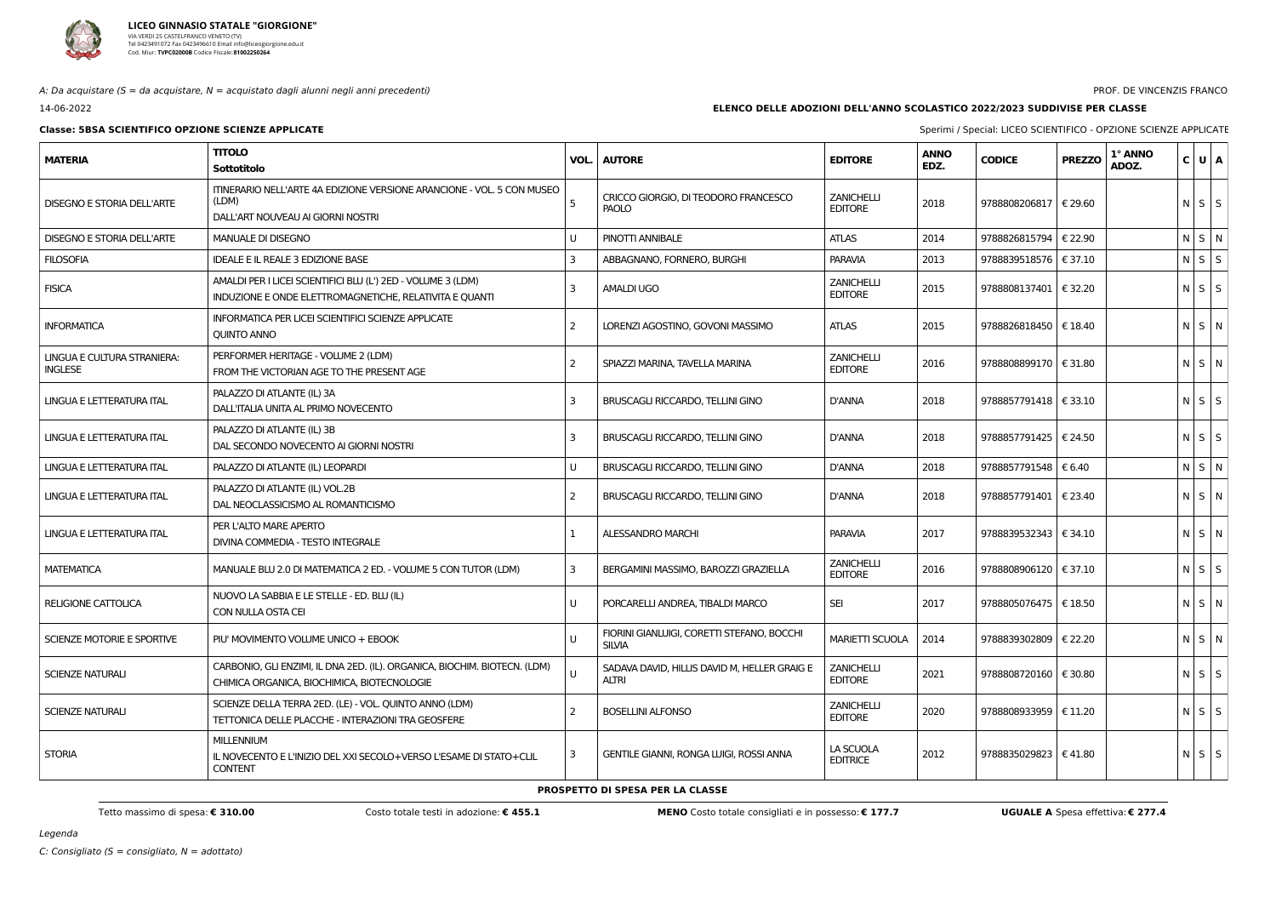

A: Da acquistare ( $S = da$  acquistare,  $N = ac$ quistato dagli alunni negli anni precedenti)

14-06-2022

# **Classe: 5BSA SCIENTIFICO OPZIONE SCIENZE APPLICATE** Sperimi / Special: LICEO SCIENTIFICO - OPZIONE SCIENZE APPLICATE

### PROF. DE VINCENZIS FRANCO

## **ELENCO DELLE ADOZIONI DELL'ANNO SCOLASTICO 2022/2023 SUDDIVISE PER CLASSE**

| <b>MATERIA</b>                                | <b>TITOLO</b><br>Sottotitolo                                                                                             | VOL. | <b>AUTORE</b>                                                | <b>EDITORE</b>                      | <b>ANNO</b><br>EDZ. | <b>CODICE</b>           | 1° ANNO<br><b>PREZZO</b><br>ADOZ. | C U A       |  |
|-----------------------------------------------|--------------------------------------------------------------------------------------------------------------------------|------|--------------------------------------------------------------|-------------------------------------|---------------------|-------------------------|-----------------------------------|-------------|--|
| <b>DISEGNO E STORIA DELL'ARTE</b>             | ITINERARIO NELL'ARTE 4A EDIZIONE VERSIONE ARANCIONE - VOL. 5 CON MUSEO<br>(LDM)<br>DALL'ART NOUVEAU AI GIORNI NOSTRI     |      | CRICCO GIORGIO, DI TEODORO FRANCESCO<br>PAOLO                | <b>ZANICHELLI</b><br><b>EDITORE</b> | 2018                | 9788808206817           | € 29.60                           | $N$ $S$ $S$ |  |
| <b>DISEGNO E STORIA DELL'ARTE</b>             | <b>MANUALE DI DISEGNO</b>                                                                                                |      | PINOTTI ANNIBALE                                             | <b>ATLAS</b>                        | 2014                | 9788826815794           | € 22.90                           | $N$ $S$ $N$ |  |
| <b>FILOSOFIA</b>                              | IDEALE E IL REALE 3 EDIZIONE BASE                                                                                        |      | ABBAGNANO, FORNERO, BURGHI                                   | <b>PARAVIA</b>                      | 2013                | 9788839518576   € 37.10 |                                   | $N$ $S$ $S$ |  |
| <b>FISICA</b>                                 | AMALDI PER I LICEI SCIENTIFICI BLU (L') 2ED - VOLUME 3 (LDM)<br>INDUZIONE E ONDE ELETTROMAGNETICHE, RELATIVITA E QUANTI  | 3    | <b>AMALDI UGO</b>                                            | <b>ZANICHELLI</b><br><b>EDITORE</b> | 2015                | 9788808137401   € 32.20 |                                   | $N$ $S$ $S$ |  |
| <b>INFORMATICA</b>                            | INFORMATICA PER LICEI SCIENTIFICI SCIENZE APPLICATE<br><b>QUINTO ANNO</b>                                                |      | LORENZI AGOSTINO, GOVONI MASSIMO                             | <b>ATLAS</b>                        | 2015                | 9788826818450   € 18.40 |                                   | N S N       |  |
| LINGUA E CULTURA STRANIERA:<br><b>INGLESE</b> | PERFORMER HERITAGE - VOLUME 2 (LDM)<br>FROM THE VICTORIAN AGE TO THE PRESENT AGE                                         |      | SPIAZZI MARINA, TAVELLA MARINA                               | <b>ZANICHELLI</b><br><b>EDITORE</b> | 2016                | 9788808899170   € 31.80 |                                   | $N$ $S$ $N$ |  |
| LINGUA E LETTERATURA ITAL                     | PALAZZO DI ATLANTE (IL) 3A<br>DALL'ITALIA UNITA AL PRIMO NOVECENTO                                                       | 3    | <b>BRUSCAGLI RICCARDO, TELLINI GINO</b>                      | D'ANNA                              | 2018                | 9788857791418   € 33.10 |                                   | $N$ $S$ $S$ |  |
| LINGUA E LETTERATURA ITAL                     | PALAZZO DI ATLANTE (IL) 3B<br>DAL SECONDO NOVECENTO AI GIORNI NOSTRI                                                     | 3    | BRUSCAGLI RICCARDO, TELLINI GINO                             | D'ANNA                              | 2018                | 9788857791425   € 24.50 |                                   | $N$ $S$ $S$ |  |
| LINGUA E LETTERATURA ITAL                     | PALAZZO DI ATLANTE (IL) LEOPARDI                                                                                         |      | BRUSCAGLI RICCARDO, TELLINI GINO                             | <b>D'ANNA</b>                       | 2018                | 9788857791548   € 6.40  |                                   | $N$ $S$ $N$ |  |
| LINGUA E LETTERATURA ITAL                     | PALAZZO DI ATLANTE (IL) VOL.2B<br>DAL NEOCLASSICISMO AL ROMANTICISMO                                                     |      | BRUSCAGLI RICCARDO, TELLINI GINO                             | D'ANNA                              | 2018                | 9788857791401   € 23.40 |                                   | N S N       |  |
| LINGUA E LETTERATURA ITAL                     | PER L'ALTO MARE APERTO<br>DIVINA COMMEDIA - TESTO INTEGRALE                                                              |      | <b>ALESSANDRO MARCHI</b>                                     | <b>PARAVIA</b>                      | 2017                | 9788839532343   € 34.10 |                                   | N S N       |  |
| <b>MATEMATICA</b>                             | MANUALE BLU 2.0 DI MATEMATICA 2 ED. - VOLUME 5 CON TUTOR (LDM)                                                           | -3   | BERGAMINI MASSIMO, BAROZZI GRAZIELLA                         | <b>ZANICHELLI</b><br><b>EDITORE</b> | 2016                | 9788808906120 € 37.10   |                                   | $N$ $S$ $S$ |  |
| <b>RELIGIONE CATTOLICA</b>                    | NUOVO LA SABBIA E LE STELLE - ED. BLU (IL)<br>CON NULLA OSTA CEI                                                         | U    | PORCARELLI ANDREA, TIBALDI MARCO                             | <b>SEI</b>                          | 2017                | 9788805076475   € 18.50 |                                   | N S N       |  |
| SCIENZE MOTORIE E SPORTIVE                    | PIU' MOVIMENTO VOLUME UNICO + EBOOK                                                                                      |      | FIORINI GIANLUIGI, CORETTI STEFANO, BOCCHI<br><b>SILVIA</b>  | <b>MARIETTI SCUOLA</b>              | 2014                | 9788839302809           | € 22.20                           | N S N       |  |
| <b>SCIENZE NATURALI</b>                       | CARBONIO, GLI ENZIMI, IL DNA 2ED. (IL). ORGANICA, BIOCHIM. BIOTECN. (LDM)<br>CHIMICA ORGANICA, BIOCHIMICA, BIOTECNOLOGIE |      | SADAVA DAVID, HILLIS DAVID M, HELLER GRAIG E<br><b>ALTRI</b> | <b>ZANICHELLI</b><br><b>EDITORE</b> | 2021                | 9788808720160   € 30.80 |                                   | $N$ $S$ $S$ |  |
| <b>SCIENZE NATURALI</b>                       | SCIENZE DELLA TERRA 2ED. (LE) - VOL. QUINTO ANNO (LDM)<br>TETTONICA DELLE PLACCHE - INTERAZIONI TRA GEOSFERE             |      | <b>BOSELLINI ALFONSO</b>                                     | <b>ZANICHELLI</b><br><b>EDITORE</b> | 2020                | 9788808933959   € 11.20 |                                   | $N$ $S$ $S$ |  |
| <b>STORIA</b>                                 | <b>MILLENNIUM</b><br>IL NOVECENTO E L'INIZIO DEL XXI SECOLO+VERSO L'ESAME DI STATO+CLIL<br><b>CONTENT</b>                | -3   | <b>GENTILE GIANNI, RONGA LUIGI, ROSSI ANNA</b>               | LA SCUOLA<br><b>EDITRICE</b>        | 2012                | 9788835029823   €41.80  |                                   | $N$ $S$ $S$ |  |

Tetto massimo di spesa: € 310.00 Costo totale testi in adozione: € 455.1 MENO Costo totale consigliati e in possesso: € 177.7 UGUALE A Spesa effettiva: € 277.4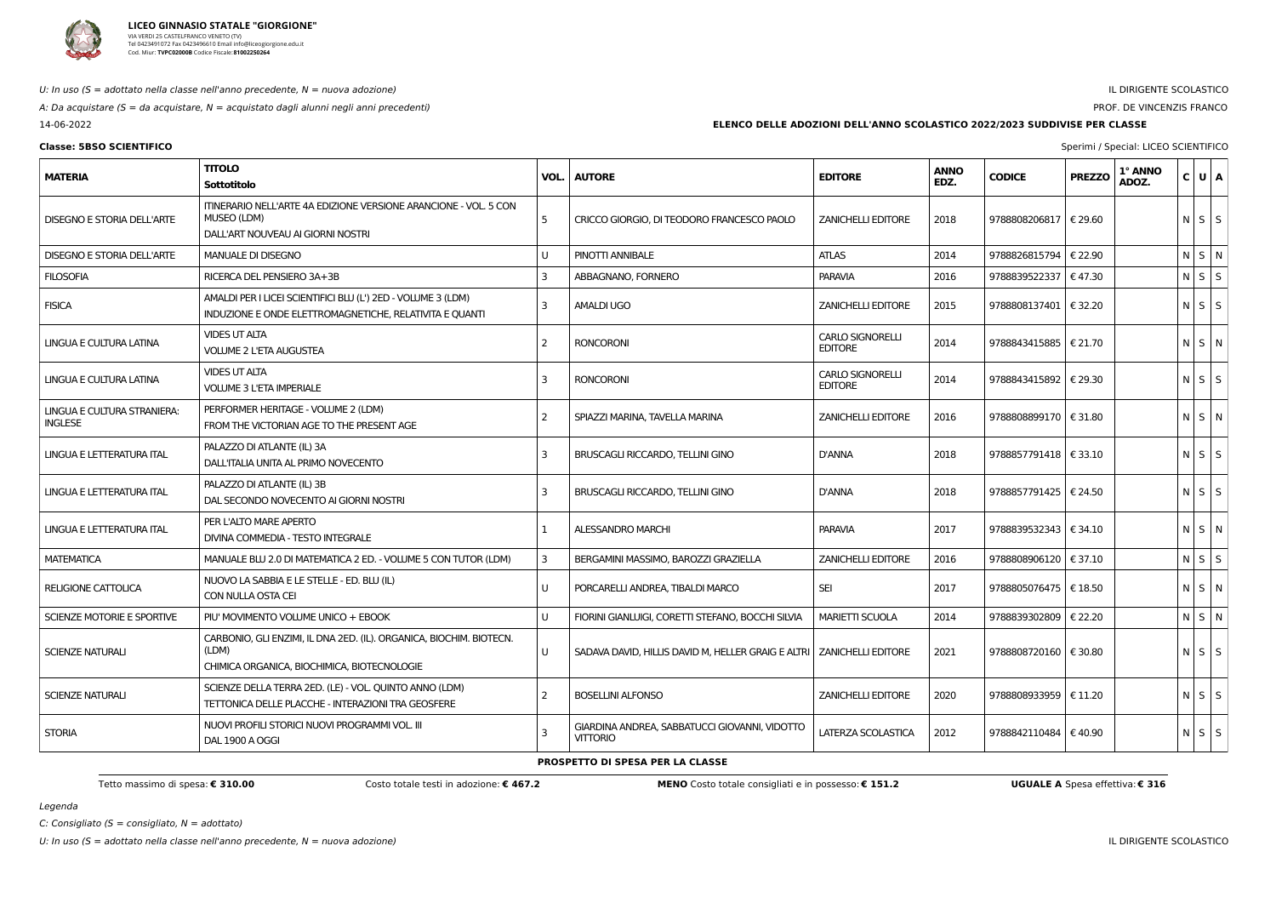

## U: In uso  $(S = adottato$  nella classe nell'anno precedente,  $N = nuova$  adozione)

A: Da acquistare ( $S = da$  acquistare,  $N = ac$ quistato dagli alunni negli anni precedenti)

14-06-2022

# IL DIRIGENTE SCOLASTICO

# PROF. DE VINCENZIS FRANCO

**Classe: 5BSO SCIENTIFICO** Sperimi / Special: LICEO SCIENTIFICO

Legenda

**ELENCO DELLE ADOZIONI DELL'ANNO SCOLASTICO 2022/2023 SUDDIVISE PER CLASSE**

| <b>MATERIA</b>                                | <b>TITOLO</b><br>Sottotitolo                                                                                                | VOL.           | <b>AUTORE</b>                                                           | <b>EDITORE</b>                            | <b>ANNO</b><br>EDZ. | <b>CODICE</b>           | <b>PREZZO</b> | 1° ANNO<br>ADOZ. | C U A       |  |
|-----------------------------------------------|-----------------------------------------------------------------------------------------------------------------------------|----------------|-------------------------------------------------------------------------|-------------------------------------------|---------------------|-------------------------|---------------|------------------|-------------|--|
| <b>DISEGNO E STORIA DELL'ARTE</b>             | ITINERARIO NELL'ARTE 4A EDIZIONE VERSIONE ARANCIONE - VOL. 5 CON<br>MUSEO (LDM)<br>DALL'ART NOUVEAU AI GIORNI NOSTRI        | 5              | CRICCO GIORGIO, DI TEODORO FRANCESCO PAOLO                              | <b>ZANICHELLI EDITORE</b>                 | 2018                | 9788808206817   € 29.60 |               |                  | $N$ $S$ $S$ |  |
| <b>DISEGNO E STORIA DELL'ARTE</b>             | <b>MANUALE DI DISEGNO</b>                                                                                                   |                | PINOTTI ANNIBALE                                                        | <b>ATLAS</b>                              | 2014                | 9788826815794           | € 22.90       |                  | $N$ S $N$   |  |
| <b>FILOSOFIA</b>                              | RICERCA DEL PENSIERO 3A+3B                                                                                                  | 3              | ABBAGNANO, FORNERO                                                      | <b>PARAVIA</b>                            | 2016                | 9788839522337   € 47.30 |               |                  | $N$ $S$ $S$ |  |
| <b>FISICA</b>                                 | AMALDI PER I LICEI SCIENTIFICI BLU (L') 2ED - VOLUME 3 (LDM)<br>INDUZIONE E ONDE ELETTROMAGNETICHE, RELATIVITA E QUANTI     | 3              | <b>AMALDI UGO</b>                                                       | <b>ZANICHELLI EDITORE</b>                 | 2015                | 9788808137401   € 32.20 |               |                  | $N$ $S$ $S$ |  |
| LINGUA E CULTURA LATINA                       | <b>VIDES UT ALTA</b><br><b>VOLUME 2 L'ETA AUGUSTEA</b>                                                                      | -2             | <b>RONCORONI</b>                                                        | <b>CARLO SIGNORELLI</b><br><b>EDITORE</b> | 2014                | 9788843415885   € 21.70 |               |                  | $N$ $S$ $N$ |  |
| LINGUA E CULTURA LATINA                       | <b>VIDES UT ALTA</b><br><b>VOLUME 3 L'ETA IMPERIALE</b>                                                                     | 3              | <b>RONCORONI</b>                                                        | <b>CARLO SIGNORELLI</b><br><b>EDITORE</b> | 2014                | 9788843415892   € 29.30 |               |                  | $N$ $S$ $S$ |  |
| LINGUA E CULTURA STRANIERA:<br><b>INGLESE</b> | PERFORMER HERITAGE - VOLUME 2 (LDM)<br>FROM THE VICTORIAN AGE TO THE PRESENT AGE                                            | $\overline{2}$ | SPIAZZI MARINA, TAVELLA MARINA                                          | <b>ZANICHELLI EDITORE</b>                 | 2016                | 9788808899170   € 31.80 |               |                  | $N$ $S$ $N$ |  |
| LINGUA E LETTERATURA ITAL                     | PALAZZO DI ATLANTE (IL) 3A<br>DALL'ITALIA UNITA AL PRIMO NOVECENTO                                                          | 3              | BRUSCAGLI RICCARDO, TELLINI GINO                                        | <b>D'ANNA</b>                             | 2018                | 9788857791418   € 33.10 |               |                  | $N$ $S$ $S$ |  |
| LINGUA E LETTERATURA ITAL                     | PALAZZO DI ATLANTE (IL) 3B<br>DAL SECONDO NOVECENTO AI GIORNI NOSTRI                                                        | -3             | BRUSCAGLI RICCARDO, TELLINI GINO                                        | <b>D'ANNA</b>                             | 2018                | 9788857791425   € 24.50 |               |                  | $N$ $S$ $S$ |  |
| LINGUA E LETTERATURA ITAL                     | PER L'ALTO MARE APERTO<br>DIVINA COMMEDIA - TESTO INTEGRALE                                                                 |                | ALESSANDRO MARCHI                                                       | <b>PARAVIA</b>                            | 2017                | 9788839532343   € 34.10 |               |                  | $N$ $S$ $N$ |  |
| MATEMATICA                                    | MANUALE BLU 2.0 DI MATEMATICA 2 ED. - VOLUME 5 CON TUTOR (LDM)                                                              | -3             | BERGAMINI MASSIMO, BAROZZI GRAZIELLA                                    | <b>ZANICHELLI EDITORE</b>                 | 2016                | 9788808906120   € 37.10 |               |                  | $N$ $S$ $S$ |  |
| <b>RELIGIONE CATTOLICA</b>                    | NUOVO LA SABBIA E LE STELLE - ED. BLU (IL)<br>CON NULLA OSTA CEI                                                            |                | PORCARELLI ANDREA, TIBALDI MARCO                                        | <b>SEI</b>                                | 2017                | 9788805076475   € 18.50 |               |                  | $N$ $S$ $N$ |  |
| SCIENZE MOTORIE E SPORTIVE                    | PIU' MOVIMENTO VOLUME UNICO + EBOOK                                                                                         |                | FIORINI GIANLUIGI, CORETTI STEFANO, BOCCHI SILVIA                       | <b>MARIETTI SCUOLA</b>                    | 2014                | 9788839302809   € 22.20 |               |                  | NSN         |  |
| SCIENZE NATURALI                              | CARBONIO, GLI ENZIMI, IL DNA 2ED. (IL). ORGANICA, BIOCHIM. BIOTECN.<br>(LDM)<br>CHIMICA ORGANICA, BIOCHIMICA, BIOTECNOLOGIE |                | SADAVA DAVID, HILLIS DAVID M, HELLER GRAIG E ALTRI   ZANICHELLI EDITORE |                                           | 2021                | 9788808720160   € 30.80 |               |                  | $N$ $S$ $S$ |  |
| <b>SCIENZE NATURALI</b>                       | SCIENZE DELLA TERRA 2ED. (LE) - VOL. QUINTO ANNO (LDM)<br>TETTONICA DELLE PLACCHE - INTERAZIONI TRA GEOSFERE                | -2             | <b>BOSELLINI ALFONSO</b>                                                | <b>ZANICHELLI EDITORE</b>                 | 2020                | 9788808933959   € 11.20 |               |                  | $N$ $S$ $S$ |  |
| <b>STORIA</b>                                 | NUOVI PROFILI STORICI NUOVI PROGRAMMI VOL. III<br>DAL 1900 A OGGI                                                           |                | GIARDINA ANDREA, SABBATUCCI GIOVANNI, VIDOTTO<br><b>VITTORIO</b>        | LATERZA SCOLASTICA                        | 2012                | 9788842110484   € 40.90 |               |                  | $N$ $S$ $S$ |  |

Tetto massimo di spesa: € 310.00 Costo totale testi in adozione: € 467.2 MENO Costo totale consigliati e in possesso: € 151.2 UGUALE A Spesa effettiva: € 316